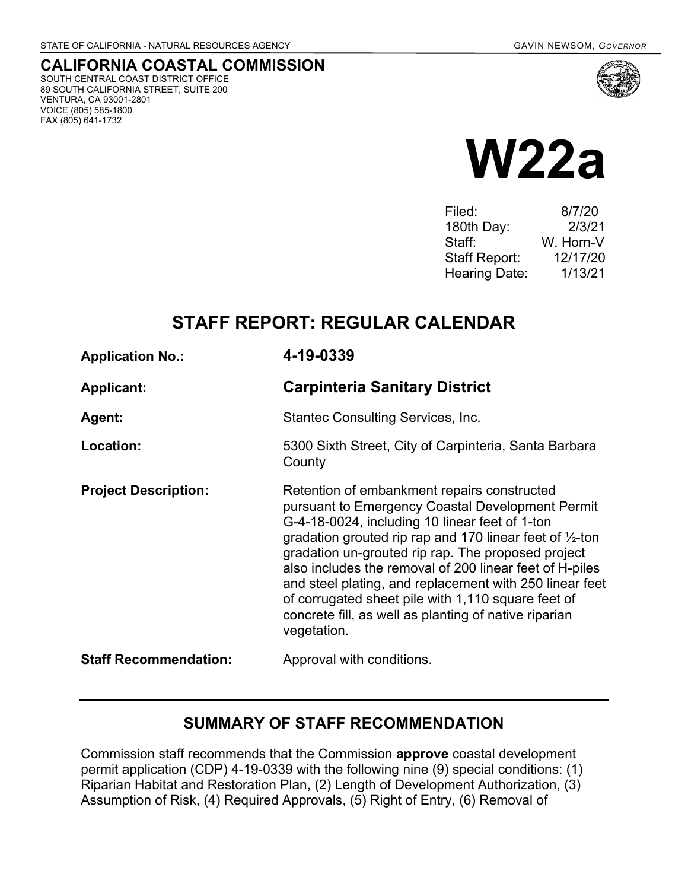SOUTH CENTRAL COAST DISTRICT OFFICE 89 SOUTH CALIFORNIA STREET, SUITE 200

VENTURA, CA 93001-2801 VOICE (805) 585-1800 FAX (805) 641-1732

**CALIFORNIA COASTAL COMMISSION**

**W22a**

| 8/7/20    |
|-----------|
| 2/3/21    |
| W. Horn-V |
| 12/17/20  |
| 1/13/21   |
|           |

# **STAFF REPORT: REGULAR CALENDAR**

| <b>Application No.:</b>      | 4-19-0339                                                                                                                                                                                                                                                                                                                                                                                                                                                                                                                          |  |
|------------------------------|------------------------------------------------------------------------------------------------------------------------------------------------------------------------------------------------------------------------------------------------------------------------------------------------------------------------------------------------------------------------------------------------------------------------------------------------------------------------------------------------------------------------------------|--|
| <b>Applicant:</b>            | <b>Carpinteria Sanitary District</b>                                                                                                                                                                                                                                                                                                                                                                                                                                                                                               |  |
| Agent:                       | <b>Stantec Consulting Services, Inc.</b>                                                                                                                                                                                                                                                                                                                                                                                                                                                                                           |  |
| Location:                    | 5300 Sixth Street, City of Carpinteria, Santa Barbara<br>County                                                                                                                                                                                                                                                                                                                                                                                                                                                                    |  |
| <b>Project Description:</b>  | Retention of embankment repairs constructed<br>pursuant to Emergency Coastal Development Permit<br>G-4-18-0024, including 10 linear feet of 1-ton<br>gradation grouted rip rap and 170 linear feet of $\frac{1}{2}$ -ton<br>gradation un-grouted rip rap. The proposed project<br>also includes the removal of 200 linear feet of H-piles<br>and steel plating, and replacement with 250 linear feet<br>of corrugated sheet pile with 1,110 square feet of<br>concrete fill, as well as planting of native riparian<br>vegetation. |  |
| <b>Staff Recommendation:</b> | Approval with conditions.                                                                                                                                                                                                                                                                                                                                                                                                                                                                                                          |  |

# **SUMMARY OF STAFF RECOMMENDATION**

Commission staff recommends that the Commission **approve** coastal development permit application (CDP) 4-19-0339 with the following nine (9) special conditions: (1) Riparian Habitat and Restoration Plan, (2) Length of Development Authorization, (3) Assumption of Risk, (4) Required Approvals, (5) Right of Entry, (6) Removal of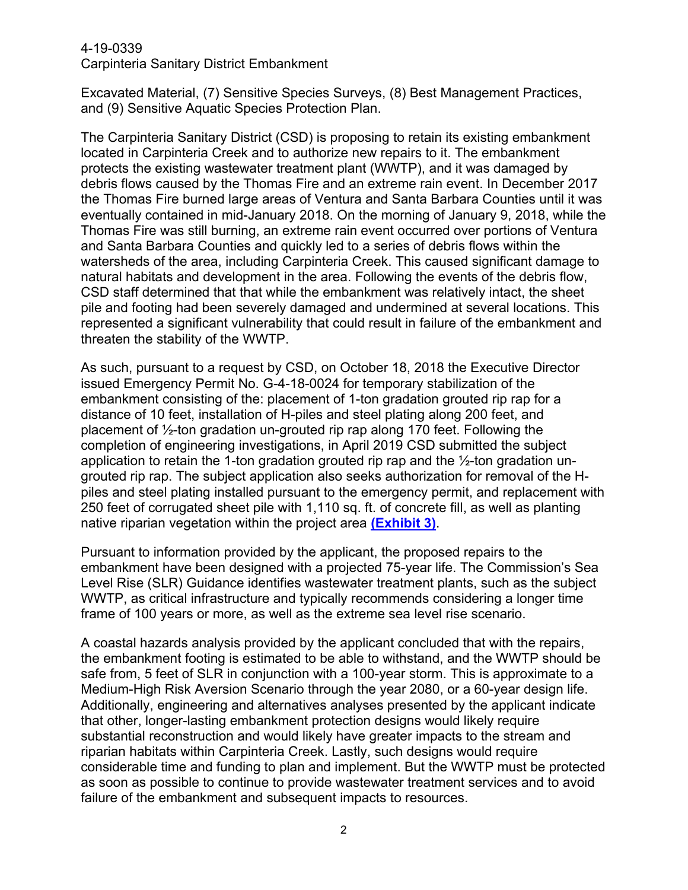#### 4-19-0339

Carpinteria Sanitary District Embankment

Excavated Material, (7) Sensitive Species Surveys, (8) Best Management Practices, and (9) Sensitive Aquatic Species Protection Plan.

The Carpinteria Sanitary District (CSD) is proposing to retain its existing embankment located in Carpinteria Creek and to authorize new repairs to it. The embankment protects the existing wastewater treatment plant (WWTP), and it was damaged by debris flows caused by the Thomas Fire and an extreme rain event. In December 2017 the Thomas Fire burned large areas of Ventura and Santa Barbara Counties until it was eventually contained in mid-January 2018. On the morning of January 9, 2018, while the Thomas Fire was still burning, an extreme rain event occurred over portions of Ventura and Santa Barbara Counties and quickly led to a series of debris flows within the watersheds of the area, including Carpinteria Creek. This caused significant damage to natural habitats and development in the area. Following the events of the debris flow, CSD staff determined that that while the embankment was relatively intact, the sheet pile and footing had been severely damaged and undermined at several locations. This represented a significant vulnerability that could result in failure of the embankment and threaten the stability of the WWTP.

As such, pursuant to a request by CSD, on October 18, 2018 the Executive Director issued Emergency Permit No. G-4-18-0024 for temporary stabilization of the embankment consisting of the: placement of 1-ton gradation grouted rip rap for a distance of 10 feet, installation of H-piles and steel plating along 200 feet, and placement of ½-ton gradation un-grouted rip rap along 170 feet. Following the completion of engineering investigations, in April 2019 CSD submitted the subject application to retain the 1-ton gradation grouted rip rap and the ½-ton gradation ungrouted rip rap. The subject application also seeks authorization for removal of the Hpiles and steel plating installed pursuant to the emergency permit, and replacement with 250 feet of corrugated sheet pile with 1,110 sq. ft. of concrete fill, as well as planting native riparian vegetation within the project area **[\(Exhibit 3\)](https://documents.coastal.ca.gov/reports/2021/1/W22a/W22a-1-2021-exhibits.pdf)**.

Pursuant to information provided by the applicant, the proposed repairs to the embankment have been designed with a projected 75-year life. The Commission's Sea Level Rise (SLR) Guidance identifies wastewater treatment plants, such as the subject WWTP, as critical infrastructure and typically recommends considering a longer time frame of 100 years or more, as well as the extreme sea level rise scenario.

A coastal hazards analysis provided by the applicant concluded that with the repairs, the embankment footing is estimated to be able to withstand, and the WWTP should be safe from, 5 feet of SLR in conjunction with a 100-year storm. This is approximate to a Medium-High Risk Aversion Scenario through the year 2080, or a 60-year design life. Additionally, engineering and alternatives analyses presented by the applicant indicate that other, longer-lasting embankment protection designs would likely require substantial reconstruction and would likely have greater impacts to the stream and riparian habitats within Carpinteria Creek. Lastly, such designs would require considerable time and funding to plan and implement. But the WWTP must be protected as soon as possible to continue to provide wastewater treatment services and to avoid failure of the embankment and subsequent impacts to resources.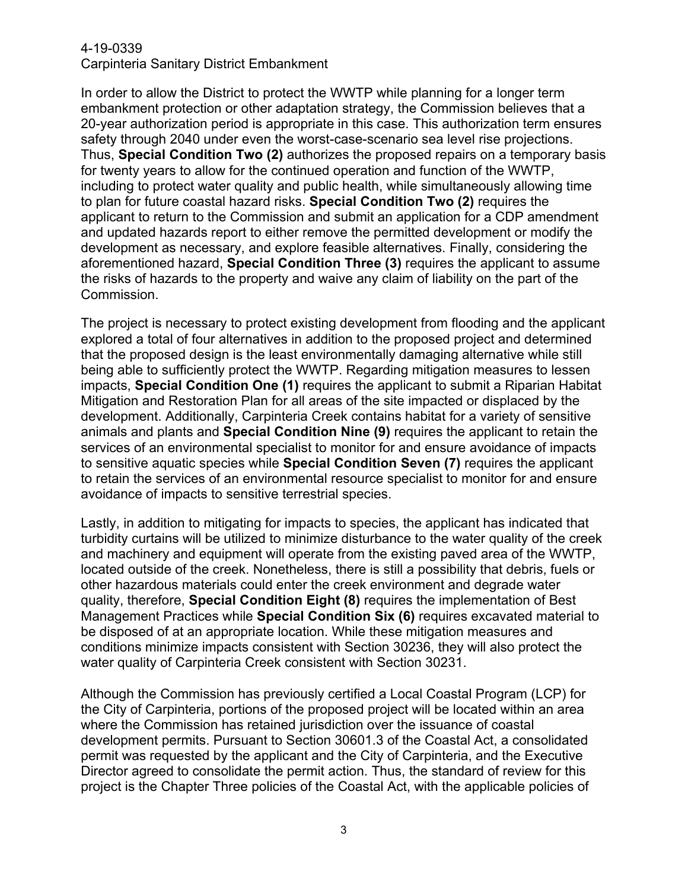In order to allow the District to protect the WWTP while planning for a longer term embankment protection or other adaptation strategy, the Commission believes that a 20-year authorization period is appropriate in this case. This authorization term ensures safety through 2040 under even the worst-case-scenario sea level rise projections. Thus, **Special Condition Two (2)** authorizes the proposed repairs on a temporary basis for twenty years to allow for the continued operation and function of the WWTP, including to protect water quality and public health, while simultaneously allowing time to plan for future coastal hazard risks. **Special Condition Two (2)** requires the applicant to return to the Commission and submit an application for a CDP amendment and updated hazards report to either remove the permitted development or modify the development as necessary, and explore feasible alternatives. Finally, considering the aforementioned hazard, **Special Condition Three (3)** requires the applicant to assume the risks of hazards to the property and waive any claim of liability on the part of the Commission.

The project is necessary to protect existing development from flooding and the applicant explored a total of four alternatives in addition to the proposed project and determined that the proposed design is the least environmentally damaging alternative while still being able to sufficiently protect the WWTP. Regarding mitigation measures to lessen impacts, **Special Condition One (1)** requires the applicant to submit a Riparian Habitat Mitigation and Restoration Plan for all areas of the site impacted or displaced by the development. Additionally, Carpinteria Creek contains habitat for a variety of sensitive animals and plants and **Special Condition Nine (9)** requires the applicant to retain the services of an environmental specialist to monitor for and ensure avoidance of impacts to sensitive aquatic species while **Special Condition Seven (7)** requires the applicant to retain the services of an environmental resource specialist to monitor for and ensure avoidance of impacts to sensitive terrestrial species.

Lastly, in addition to mitigating for impacts to species, the applicant has indicated that turbidity curtains will be utilized to minimize disturbance to the water quality of the creek and machinery and equipment will operate from the existing paved area of the WWTP, located outside of the creek. Nonetheless, there is still a possibility that debris, fuels or other hazardous materials could enter the creek environment and degrade water quality, therefore, **Special Condition Eight (8)** requires the implementation of Best Management Practices while **Special Condition Six (6)** requires excavated material to be disposed of at an appropriate location. While these mitigation measures and conditions minimize impacts consistent with Section 30236, they will also protect the water quality of Carpinteria Creek consistent with Section 30231.

Although the Commission has previously certified a Local Coastal Program (LCP) for the City of Carpinteria, portions of the proposed project will be located within an area where the Commission has retained jurisdiction over the issuance of coastal development permits. Pursuant to Section 30601.3 of the Coastal Act, a consolidated permit was requested by the applicant and the City of Carpinteria, and the Executive Director agreed to consolidate the permit action. Thus, the standard of review for this project is the Chapter Three policies of the Coastal Act, with the applicable policies of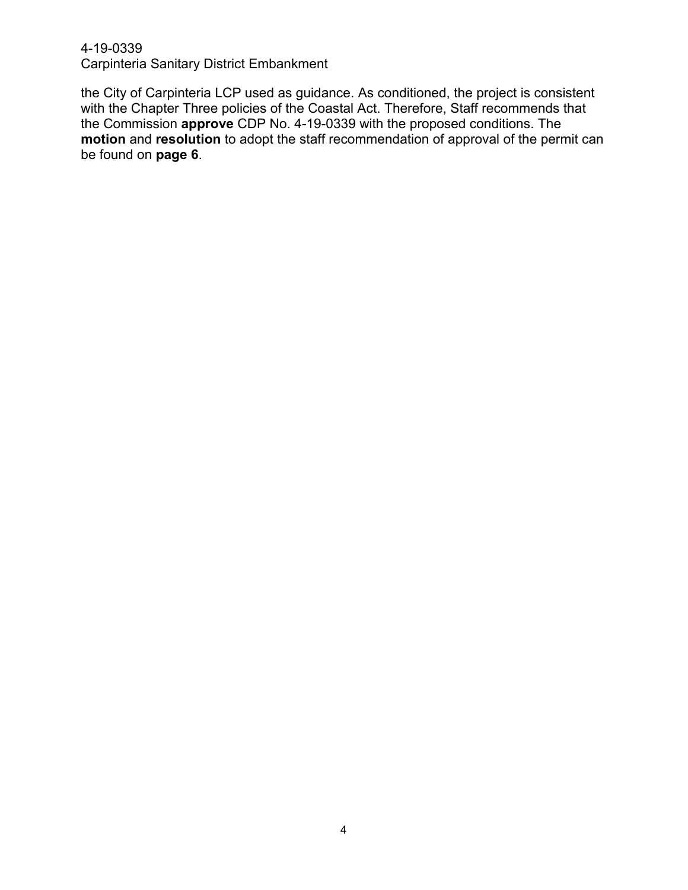the City of Carpinteria LCP used as guidance. As conditioned, the project is consistent with the Chapter Three policies of the Coastal Act. Therefore, Staff recommends that the Commission **approve** CDP No. 4-19-0339 with the proposed conditions. The **motion** and **resolution** to adopt the staff recommendation of approval of the permit can be found on **page 6**.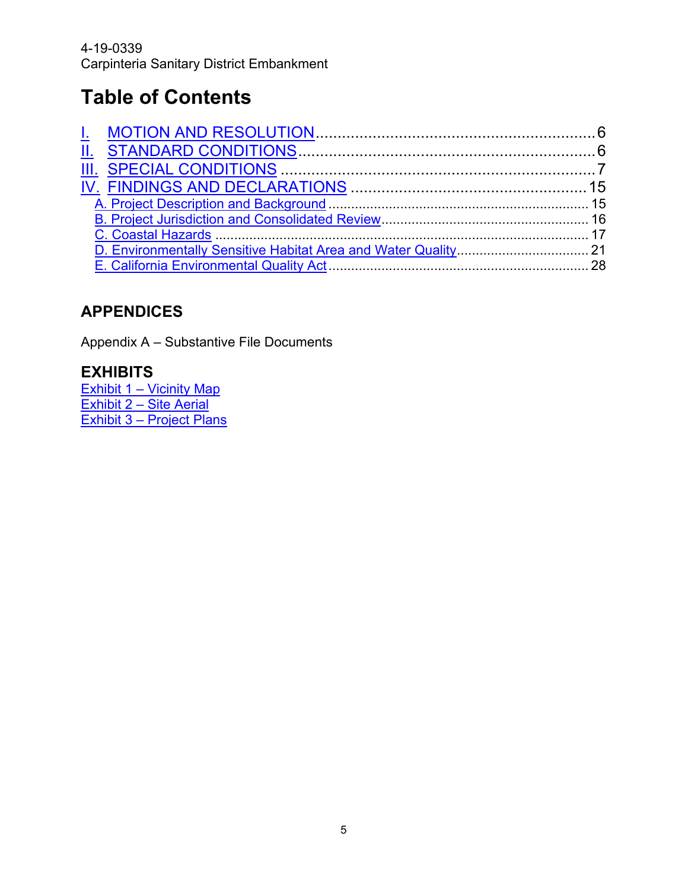# **Table of Contents**

# **APPENDICES**

Appendix A – [Substantive File Documents](#page-27-1)

# **EXHIBITS**

<u> Exhibit 1 – [Vicinity Map](https://documents.coastal.ca.gov/reports/2021/1/W22a/W22a-1-2021-exhibits.pdf)</u> [Exhibit 2 –](https://documents.coastal.ca.gov/reports/2021/1/W22a/W22a-1-2021-exhibits.pdf) Site Aerial Exhibit 3 – [Project Plans](https://documents.coastal.ca.gov/reports/2021/1/W22a/W22a-1-2021-exhibits.pdf)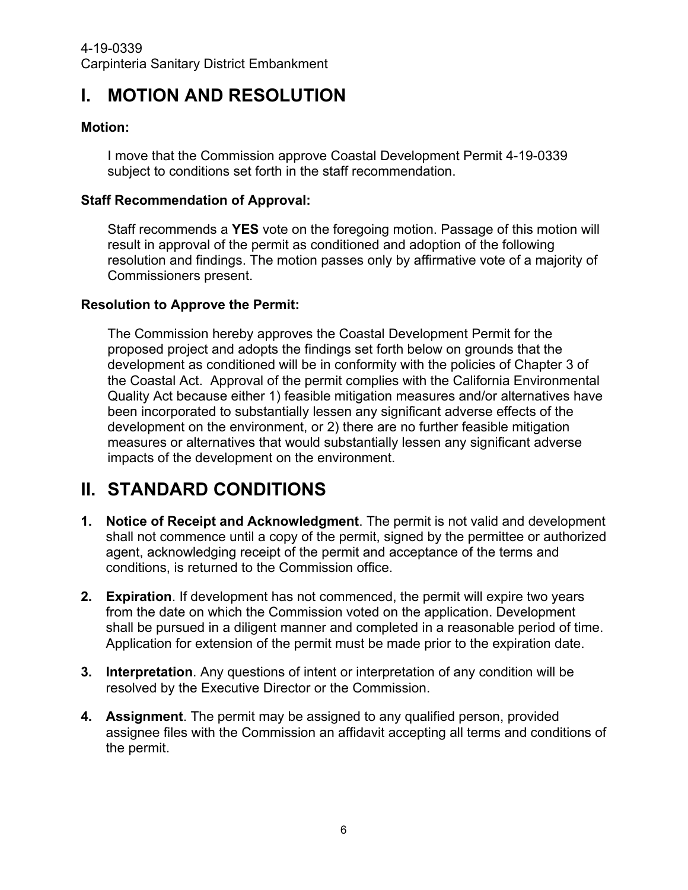# <span id="page-5-0"></span>**I. MOTION AND RESOLUTION**

#### **Motion:**

I move that the Commission approve Coastal Development Permit 4-19-0339 subject to conditions set forth in the staff recommendation.

#### **Staff Recommendation of Approval:**

Staff recommends a **YES** vote on the foregoing motion. Passage of this motion will result in approval of the permit as conditioned and adoption of the following resolution and findings. The motion passes only by affirmative vote of a majority of Commissioners present.

#### **Resolution to Approve the Permit:**

The Commission hereby approves the Coastal Development Permit for the proposed project and adopts the findings set forth below on grounds that the development as conditioned will be in conformity with the policies of Chapter 3 of the Coastal Act. Approval of the permit complies with the California Environmental Quality Act because either 1) feasible mitigation measures and/or alternatives have been incorporated to substantially lessen any significant adverse effects of the development on the environment, or 2) there are no further feasible mitigation measures or alternatives that would substantially lessen any significant adverse impacts of the development on the environment.

# <span id="page-5-1"></span>**II. STANDARD CONDITIONS**

- **1. Notice of Receipt and Acknowledgment**. The permit is not valid and development shall not commence until a copy of the permit, signed by the permittee or authorized agent, acknowledging receipt of the permit and acceptance of the terms and conditions, is returned to the Commission office.
- **2. Expiration**. If development has not commenced, the permit will expire two years from the date on which the Commission voted on the application. Development shall be pursued in a diligent manner and completed in a reasonable period of time. Application for extension of the permit must be made prior to the expiration date.
- **3. Interpretation**. Any questions of intent or interpretation of any condition will be resolved by the Executive Director or the Commission.
- **4. Assignment**. The permit may be assigned to any qualified person, provided assignee files with the Commission an affidavit accepting all terms and conditions of the permit.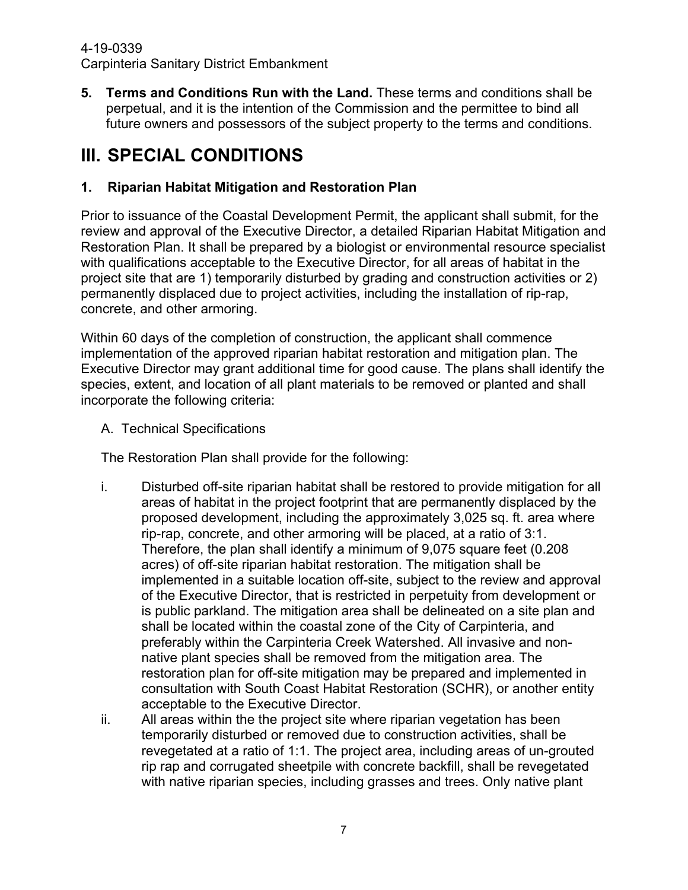**5. Terms and Conditions Run with the Land.** These terms and conditions shall be perpetual, and it is the intention of the Commission and the permittee to bind all future owners and possessors of the subject property to the terms and conditions.

# <span id="page-6-0"></span>**III. SPECIAL CONDITIONS**

### **1. Riparian Habitat Mitigation and Restoration Plan**

Prior to issuance of the Coastal Development Permit, the applicant shall submit, for the review and approval of the Executive Director, a detailed Riparian Habitat Mitigation and Restoration Plan. It shall be prepared by a biologist or environmental resource specialist with qualifications acceptable to the Executive Director, for all areas of habitat in the project site that are 1) temporarily disturbed by grading and construction activities or 2) permanently displaced due to project activities, including the installation of rip-rap, concrete, and other armoring.

Within 60 days of the completion of construction, the applicant shall commence implementation of the approved riparian habitat restoration and mitigation plan. The Executive Director may grant additional time for good cause. The plans shall identify the species, extent, and location of all plant materials to be removed or planted and shall incorporate the following criteria:

A. Technical Specifications

The Restoration Plan shall provide for the following:

- i. Disturbed off-site riparian habitat shall be restored to provide mitigation for all areas of habitat in the project footprint that are permanently displaced by the proposed development, including the approximately 3,025 sq. ft. area where rip-rap, concrete, and other armoring will be placed, at a ratio of 3:1. Therefore, the plan shall identify a minimum of 9,075 square feet (0.208 acres) of off-site riparian habitat restoration. The mitigation shall be implemented in a suitable location off-site, subject to the review and approval of the Executive Director, that is restricted in perpetuity from development or is public parkland. The mitigation area shall be delineated on a site plan and shall be located within the coastal zone of the City of Carpinteria, and preferably within the Carpinteria Creek Watershed. All invasive and nonnative plant species shall be removed from the mitigation area. The restoration plan for off-site mitigation may be prepared and implemented in consultation with South Coast Habitat Restoration (SCHR), or another entity acceptable to the Executive Director.
- ii. All areas within the the project site where riparian vegetation has been temporarily disturbed or removed due to construction activities, shall be revegetated at a ratio of 1:1. The project area, including areas of un-grouted rip rap and corrugated sheetpile with concrete backfill, shall be revegetated with native riparian species, including grasses and trees. Only native plant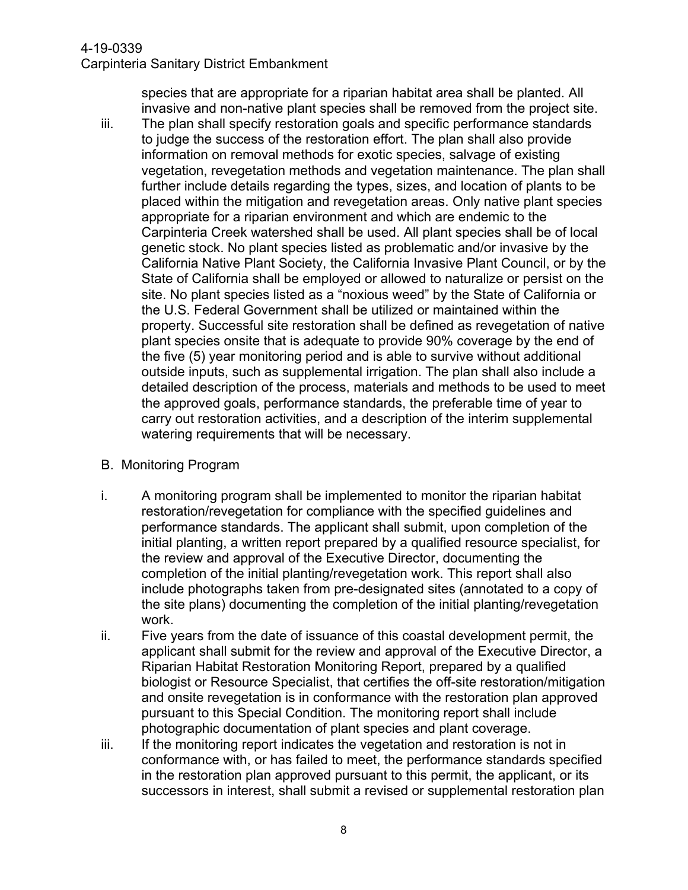species that are appropriate for a riparian habitat area shall be planted. All invasive and non-native plant species shall be removed from the project site.

- iii. The plan shall specify restoration goals and specific performance standards to judge the success of the restoration effort. The plan shall also provide information on removal methods for exotic species, salvage of existing vegetation, revegetation methods and vegetation maintenance. The plan shall further include details regarding the types, sizes, and location of plants to be placed within the mitigation and revegetation areas. Only native plant species appropriate for a riparian environment and which are endemic to the Carpinteria Creek watershed shall be used. All plant species shall be of local genetic stock. No plant species listed as problematic and/or invasive by the California Native Plant Society, the California Invasive Plant Council, or by the State of California shall be employed or allowed to naturalize or persist on the site. No plant species listed as a "noxious weed" by the State of California or the U.S. Federal Government shall be utilized or maintained within the property. Successful site restoration shall be defined as revegetation of native plant species onsite that is adequate to provide 90% coverage by the end of the five (5) year monitoring period and is able to survive without additional outside inputs, such as supplemental irrigation. The plan shall also include a detailed description of the process, materials and methods to be used to meet the approved goals, performance standards, the preferable time of year to carry out restoration activities, and a description of the interim supplemental watering requirements that will be necessary.
- B. Monitoring Program
- i. A monitoring program shall be implemented to monitor the riparian habitat restoration/revegetation for compliance with the specified guidelines and performance standards. The applicant shall submit, upon completion of the initial planting, a written report prepared by a qualified resource specialist, for the review and approval of the Executive Director, documenting the completion of the initial planting/revegetation work. This report shall also include photographs taken from pre-designated sites (annotated to a copy of the site plans) documenting the completion of the initial planting/revegetation work.
- ii. Five years from the date of issuance of this coastal development permit, the applicant shall submit for the review and approval of the Executive Director, a Riparian Habitat Restoration Monitoring Report, prepared by a qualified biologist or Resource Specialist, that certifies the off-site restoration/mitigation and onsite revegetation is in conformance with the restoration plan approved pursuant to this Special Condition. The monitoring report shall include photographic documentation of plant species and plant coverage.
- iii. If the monitoring report indicates the vegetation and restoration is not in conformance with, or has failed to meet, the performance standards specified in the restoration plan approved pursuant to this permit, the applicant, or its successors in interest, shall submit a revised or supplemental restoration plan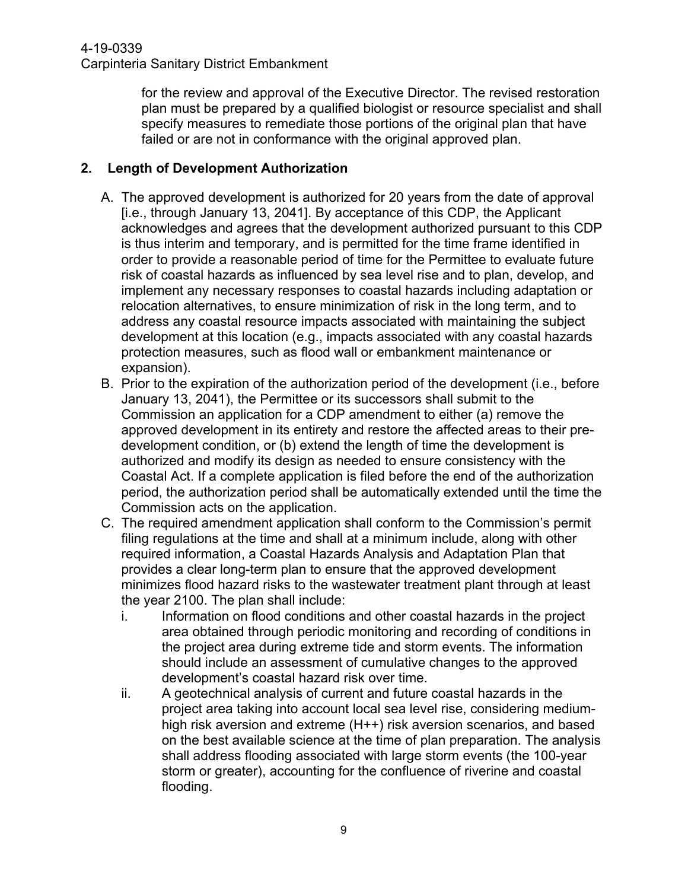for the review and approval of the Executive Director. The revised restoration plan must be prepared by a qualified biologist or resource specialist and shall specify measures to remediate those portions of the original plan that have failed or are not in conformance with the original approved plan.

#### **2. Length of Development Authorization**

- A. The approved development is authorized for 20 years from the date of approval [i.e., through January 13, 2041]. By acceptance of this CDP, the Applicant acknowledges and agrees that the development authorized pursuant to this CDP is thus interim and temporary, and is permitted for the time frame identified in order to provide a reasonable period of time for the Permittee to evaluate future risk of coastal hazards as influenced by sea level rise and to plan, develop, and implement any necessary responses to coastal hazards including adaptation or relocation alternatives, to ensure minimization of risk in the long term, and to address any coastal resource impacts associated with maintaining the subject development at this location (e.g., impacts associated with any coastal hazards protection measures, such as flood wall or embankment maintenance or expansion).
- B. Prior to the expiration of the authorization period of the development (i.e., before January 13, 2041), the Permittee or its successors shall submit to the Commission an application for a CDP amendment to either (a) remove the approved development in its entirety and restore the affected areas to their predevelopment condition, or (b) extend the length of time the development is authorized and modify its design as needed to ensure consistency with the Coastal Act. If a complete application is filed before the end of the authorization period, the authorization period shall be automatically extended until the time the Commission acts on the application.
- C. The required amendment application shall conform to the Commission's permit filing regulations at the time and shall at a minimum include, along with other required information, a Coastal Hazards Analysis and Adaptation Plan that provides a clear long-term plan to ensure that the approved development minimizes flood hazard risks to the wastewater treatment plant through at least the year 2100. The plan shall include:
	- i. Information on flood conditions and other coastal hazards in the project area obtained through periodic monitoring and recording of conditions in the project area during extreme tide and storm events. The information should include an assessment of cumulative changes to the approved development's coastal hazard risk over time.
	- ii. A geotechnical analysis of current and future coastal hazards in the project area taking into account local sea level rise, considering mediumhigh risk aversion and extreme (H++) risk aversion scenarios, and based on the best available science at the time of plan preparation. The analysis shall address flooding associated with large storm events (the 100-year storm or greater), accounting for the confluence of riverine and coastal flooding.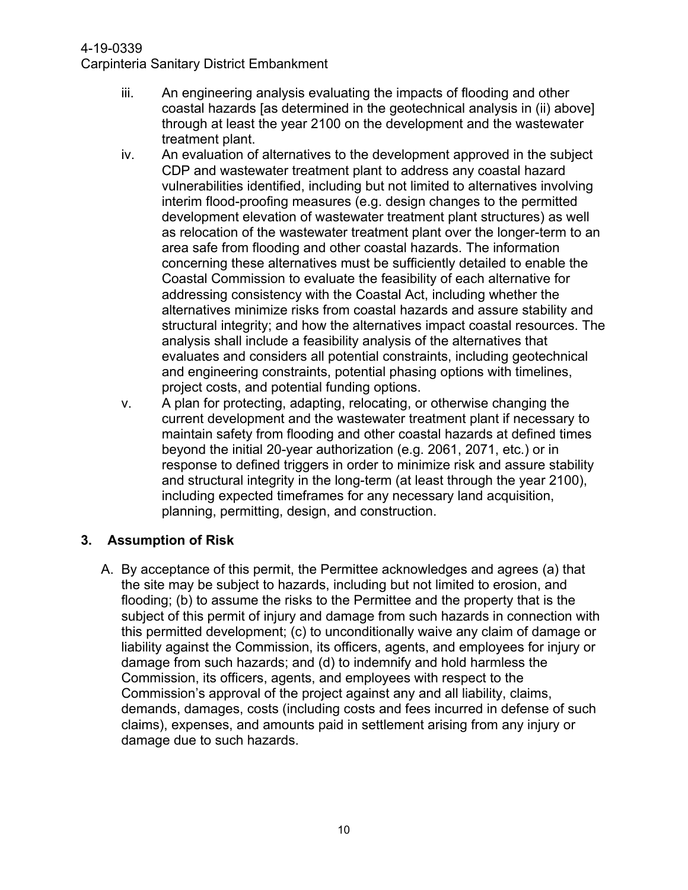- iii. An engineering analysis evaluating the impacts of flooding and other coastal hazards [as determined in the geotechnical analysis in (ii) above] through at least the year 2100 on the development and the wastewater treatment plant.
- iv. An evaluation of alternatives to the development approved in the subject CDP and wastewater treatment plant to address any coastal hazard vulnerabilities identified, including but not limited to alternatives involving interim flood-proofing measures (e.g. design changes to the permitted development elevation of wastewater treatment plant structures) as well as relocation of the wastewater treatment plant over the longer-term to an area safe from flooding and other coastal hazards. The information concerning these alternatives must be sufficiently detailed to enable the Coastal Commission to evaluate the feasibility of each alternative for addressing consistency with the Coastal Act, including whether the alternatives minimize risks from coastal hazards and assure stability and structural integrity; and how the alternatives impact coastal resources. The analysis shall include a feasibility analysis of the alternatives that evaluates and considers all potential constraints, including geotechnical and engineering constraints, potential phasing options with timelines, project costs, and potential funding options.
- v. A plan for protecting, adapting, relocating, or otherwise changing the current development and the wastewater treatment plant if necessary to maintain safety from flooding and other coastal hazards at defined times beyond the initial 20-year authorization (e.g. 2061, 2071, etc.) or in response to defined triggers in order to minimize risk and assure stability and structural integrity in the long-term (at least through the year 2100), including expected timeframes for any necessary land acquisition, planning, permitting, design, and construction.

#### **3. Assumption of Risk**

A. By acceptance of this permit, the Permittee acknowledges and agrees (a) that the site may be subject to hazards, including but not limited to erosion, and flooding; (b) to assume the risks to the Permittee and the property that is the subject of this permit of injury and damage from such hazards in connection with this permitted development; (c) to unconditionally waive any claim of damage or liability against the Commission, its officers, agents, and employees for injury or damage from such hazards; and (d) to indemnify and hold harmless the Commission, its officers, agents, and employees with respect to the Commission's approval of the project against any and all liability, claims, demands, damages, costs (including costs and fees incurred in defense of such claims), expenses, and amounts paid in settlement arising from any injury or damage due to such hazards.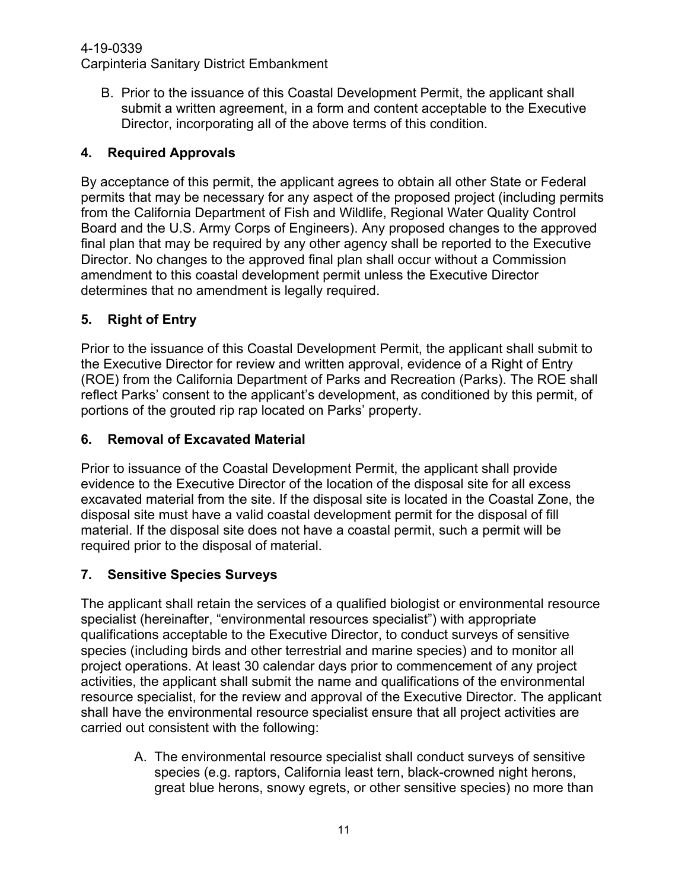#### 4-19-0339

Carpinteria Sanitary District Embankment

B. Prior to the issuance of this Coastal Development Permit, the applicant shall submit a written agreement, in a form and content acceptable to the Executive Director, incorporating all of the above terms of this condition.

### **4. Required Approvals**

By acceptance of this permit, the applicant agrees to obtain all other State or Federal permits that may be necessary for any aspect of the proposed project (including permits from the California Department of Fish and Wildlife, Regional Water Quality Control Board and the U.S. Army Corps of Engineers). Any proposed changes to the approved final plan that may be required by any other agency shall be reported to the Executive Director. No changes to the approved final plan shall occur without a Commission amendment to this coastal development permit unless the Executive Director determines that no amendment is legally required.

### **5. Right of Entry**

Prior to the issuance of this Coastal Development Permit, the applicant shall submit to the Executive Director for review and written approval, evidence of a Right of Entry (ROE) from the California Department of Parks and Recreation (Parks). The ROE shall reflect Parks' consent to the applicant's development, as conditioned by this permit, of portions of the grouted rip rap located on Parks' property.

### **6. Removal of Excavated Material**

Prior to issuance of the Coastal Development Permit, the applicant shall provide evidence to the Executive Director of the location of the disposal site for all excess excavated material from the site. If the disposal site is located in the Coastal Zone, the disposal site must have a valid coastal development permit for the disposal of fill material. If the disposal site does not have a coastal permit, such a permit will be required prior to the disposal of material.

### **7. Sensitive Species Surveys**

The applicant shall retain the services of a qualified biologist or environmental resource specialist (hereinafter, "environmental resources specialist") with appropriate qualifications acceptable to the Executive Director, to conduct surveys of sensitive species (including birds and other terrestrial and marine species) and to monitor all project operations. At least 30 calendar days prior to commencement of any project activities, the applicant shall submit the name and qualifications of the environmental resource specialist, for the review and approval of the Executive Director. The applicant shall have the environmental resource specialist ensure that all project activities are carried out consistent with the following:

> A. The environmental resource specialist shall conduct surveys of sensitive species (e.g. raptors, California least tern, black-crowned night herons, great blue herons, snowy egrets, or other sensitive species) no more than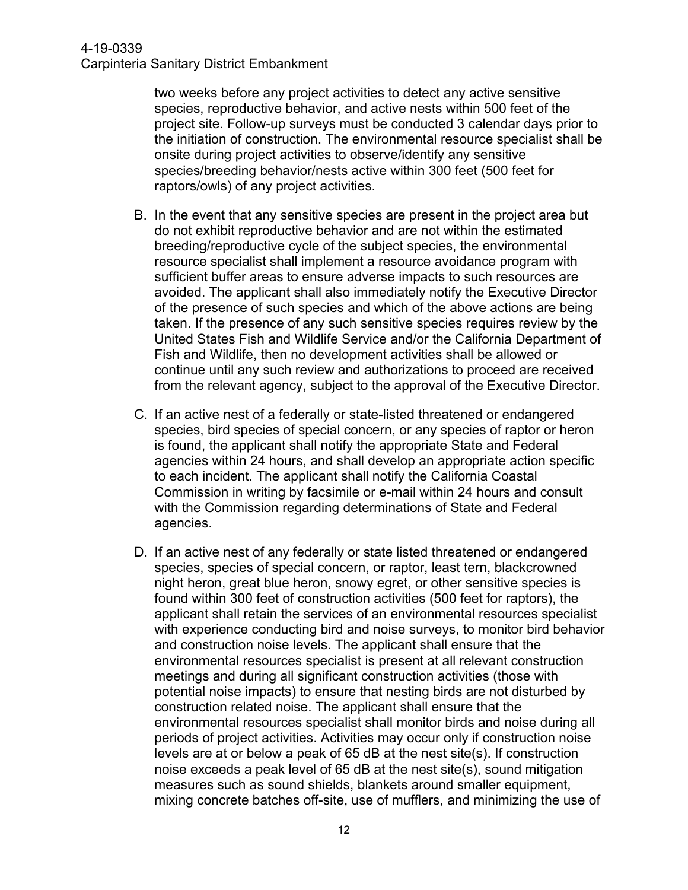two weeks before any project activities to detect any active sensitive species, reproductive behavior, and active nests within 500 feet of the project site. Follow-up surveys must be conducted 3 calendar days prior to the initiation of construction. The environmental resource specialist shall be onsite during project activities to observe/identify any sensitive species/breeding behavior/nests active within 300 feet (500 feet for raptors/owls) of any project activities.

- B. In the event that any sensitive species are present in the project area but do not exhibit reproductive behavior and are not within the estimated breeding/reproductive cycle of the subject species, the environmental resource specialist shall implement a resource avoidance program with sufficient buffer areas to ensure adverse impacts to such resources are avoided. The applicant shall also immediately notify the Executive Director of the presence of such species and which of the above actions are being taken. If the presence of any such sensitive species requires review by the United States Fish and Wildlife Service and/or the California Department of Fish and Wildlife, then no development activities shall be allowed or continue until any such review and authorizations to proceed are received from the relevant agency, subject to the approval of the Executive Director.
- C. If an active nest of a federally or state-listed threatened or endangered species, bird species of special concern, or any species of raptor or heron is found, the applicant shall notify the appropriate State and Federal agencies within 24 hours, and shall develop an appropriate action specific to each incident. The applicant shall notify the California Coastal Commission in writing by facsimile or e-mail within 24 hours and consult with the Commission regarding determinations of State and Federal agencies.
- D. If an active nest of any federally or state listed threatened or endangered species, species of special concern, or raptor, least tern, blackcrowned night heron, great blue heron, snowy egret, or other sensitive species is found within 300 feet of construction activities (500 feet for raptors), the applicant shall retain the services of an environmental resources specialist with experience conducting bird and noise surveys, to monitor bird behavior and construction noise levels. The applicant shall ensure that the environmental resources specialist is present at all relevant construction meetings and during all significant construction activities (those with potential noise impacts) to ensure that nesting birds are not disturbed by construction related noise. The applicant shall ensure that the environmental resources specialist shall monitor birds and noise during all periods of project activities. Activities may occur only if construction noise levels are at or below a peak of 65 dB at the nest site(s). If construction noise exceeds a peak level of 65 dB at the nest site(s), sound mitigation measures such as sound shields, blankets around smaller equipment, mixing concrete batches off-site, use of mufflers, and minimizing the use of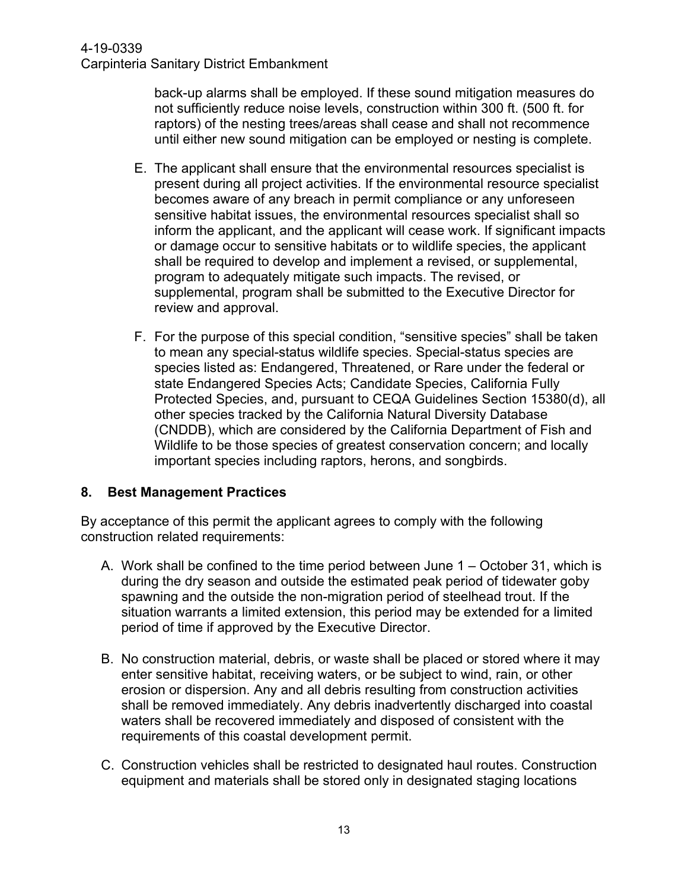back-up alarms shall be employed. If these sound mitigation measures do not sufficiently reduce noise levels, construction within 300 ft. (500 ft. for raptors) of the nesting trees/areas shall cease and shall not recommence until either new sound mitigation can be employed or nesting is complete.

- E. The applicant shall ensure that the environmental resources specialist is present during all project activities. If the environmental resource specialist becomes aware of any breach in permit compliance or any unforeseen sensitive habitat issues, the environmental resources specialist shall so inform the applicant, and the applicant will cease work. If significant impacts or damage occur to sensitive habitats or to wildlife species, the applicant shall be required to develop and implement a revised, or supplemental, program to adequately mitigate such impacts. The revised, or supplemental, program shall be submitted to the Executive Director for review and approval.
- F. For the purpose of this special condition, "sensitive species" shall be taken to mean any special-status wildlife species. Special-status species are species listed as: Endangered, Threatened, or Rare under the federal or state Endangered Species Acts; Candidate Species, California Fully Protected Species, and, pursuant to CEQA Guidelines Section 15380(d), all other species tracked by the California Natural Diversity Database (CNDDB), which are considered by the California Department of Fish and Wildlife to be those species of greatest conservation concern; and locally important species including raptors, herons, and songbirds.

#### **8. Best Management Practices**

By acceptance of this permit the applicant agrees to comply with the following construction related requirements:

- A. Work shall be confined to the time period between June 1 October 31, which is during the dry season and outside the estimated peak period of tidewater goby spawning and the outside the non-migration period of steelhead trout. If the situation warrants a limited extension, this period may be extended for a limited period of time if approved by the Executive Director.
- B. No construction material, debris, or waste shall be placed or stored where it may enter sensitive habitat, receiving waters, or be subject to wind, rain, or other erosion or dispersion. Any and all debris resulting from construction activities shall be removed immediately. Any debris inadvertently discharged into coastal waters shall be recovered immediately and disposed of consistent with the requirements of this coastal development permit.
- C. Construction vehicles shall be restricted to designated haul routes. Construction equipment and materials shall be stored only in designated staging locations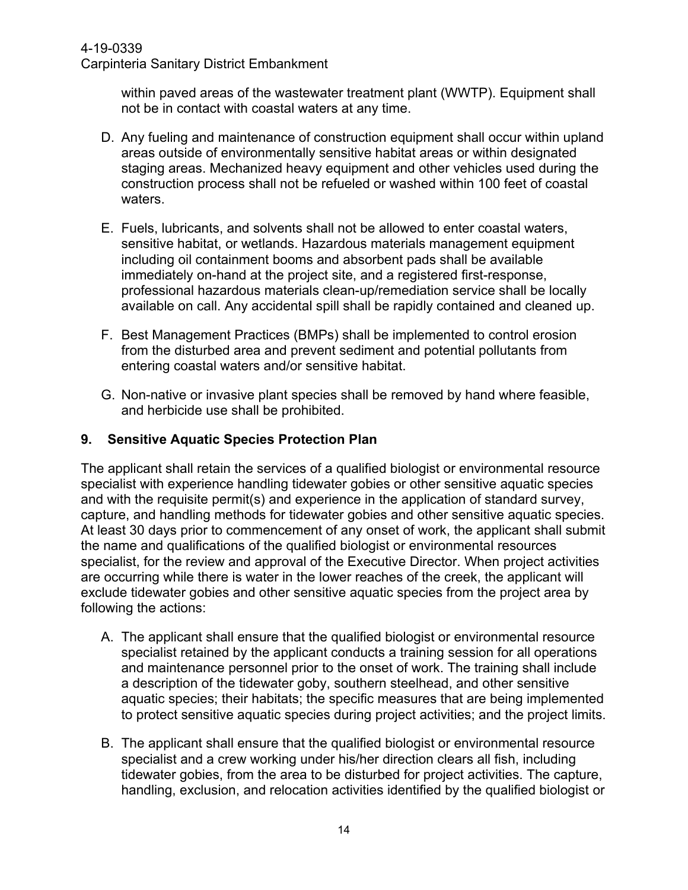#### 4-19-0339

Carpinteria Sanitary District Embankment

within paved areas of the wastewater treatment plant (WWTP). Equipment shall not be in contact with coastal waters at any time.

- D. Any fueling and maintenance of construction equipment shall occur within upland areas outside of environmentally sensitive habitat areas or within designated staging areas. Mechanized heavy equipment and other vehicles used during the construction process shall not be refueled or washed within 100 feet of coastal waters.
- E. Fuels, lubricants, and solvents shall not be allowed to enter coastal waters, sensitive habitat, or wetlands. Hazardous materials management equipment including oil containment booms and absorbent pads shall be available immediately on-hand at the project site, and a registered first-response, professional hazardous materials clean-up/remediation service shall be locally available on call. Any accidental spill shall be rapidly contained and cleaned up.
- F. Best Management Practices (BMPs) shall be implemented to control erosion from the disturbed area and prevent sediment and potential pollutants from entering coastal waters and/or sensitive habitat.
- G. Non-native or invasive plant species shall be removed by hand where feasible, and herbicide use shall be prohibited.

#### **9. Sensitive Aquatic Species Protection Plan**

The applicant shall retain the services of a qualified biologist or environmental resource specialist with experience handling tidewater gobies or other sensitive aquatic species and with the requisite permit(s) and experience in the application of standard survey, capture, and handling methods for tidewater gobies and other sensitive aquatic species. At least 30 days prior to commencement of any onset of work, the applicant shall submit the name and qualifications of the qualified biologist or environmental resources specialist, for the review and approval of the Executive Director. When project activities are occurring while there is water in the lower reaches of the creek, the applicant will exclude tidewater gobies and other sensitive aquatic species from the project area by following the actions:

- A. The applicant shall ensure that the qualified biologist or environmental resource specialist retained by the applicant conducts a training session for all operations and maintenance personnel prior to the onset of work. The training shall include a description of the tidewater goby, southern steelhead, and other sensitive aquatic species; their habitats; the specific measures that are being implemented to protect sensitive aquatic species during project activities; and the project limits.
- B. The applicant shall ensure that the qualified biologist or environmental resource specialist and a crew working under his/her direction clears all fish, including tidewater gobies, from the area to be disturbed for project activities. The capture, handling, exclusion, and relocation activities identified by the qualified biologist or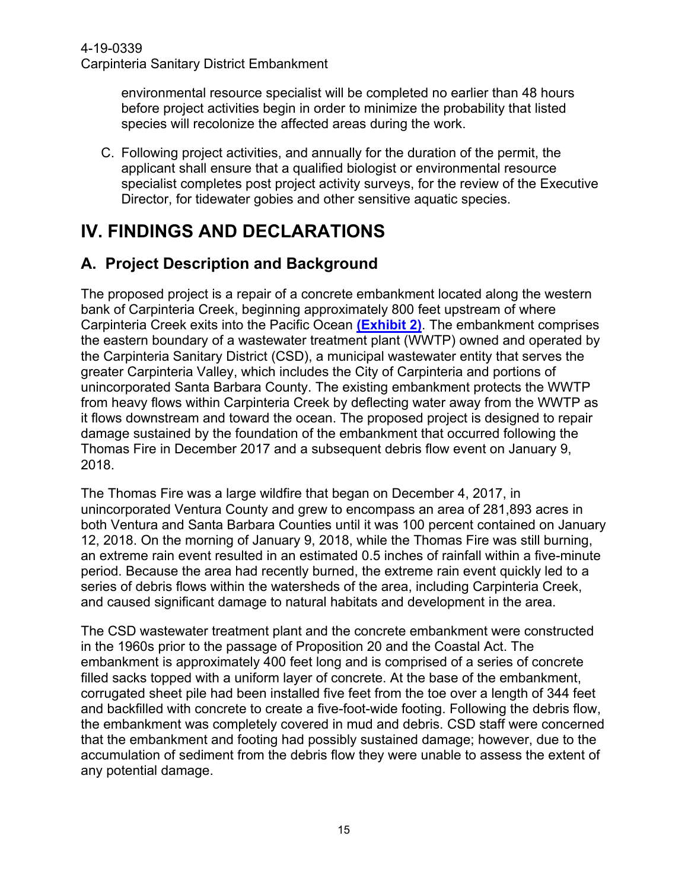environmental resource specialist will be completed no earlier than 48 hours before project activities begin in order to minimize the probability that listed species will recolonize the affected areas during the work.

C. Following project activities, and annually for the duration of the permit, the applicant shall ensure that a qualified biologist or environmental resource specialist completes post project activity surveys, for the review of the Executive Director, for tidewater gobies and other sensitive aquatic species.

# <span id="page-14-0"></span>**IV. FINDINGS AND DECLARATIONS**

# <span id="page-14-1"></span>**A. Project Description and Background**

The proposed project is a repair of a concrete embankment located along the western bank of Carpinteria Creek, beginning approximately 800 feet upstream of where Carpinteria Creek exits into the Pacific Ocean **[\(Exhibit](https://documents.coastal.ca.gov/reports/2021/1/W22a/W22a-1-2021-exhibits.pdf) 2)**. The embankment comprises the eastern boundary of a wastewater treatment plant (WWTP) owned and operated by the Carpinteria Sanitary District (CSD), a municipal wastewater entity that serves the greater Carpinteria Valley, which includes the City of Carpinteria and portions of unincorporated Santa Barbara County. The existing embankment protects the WWTP from heavy flows within Carpinteria Creek by deflecting water away from the WWTP as it flows downstream and toward the ocean. The proposed project is designed to repair damage sustained by the foundation of the embankment that occurred following the Thomas Fire in December 2017 and a subsequent debris flow event on January 9, 2018.

The Thomas Fire was a large wildfire that began on December 4, 2017, in unincorporated Ventura County and grew to encompass an area of 281,893 acres in both Ventura and Santa Barbara Counties until it was 100 percent contained on January 12, 2018. On the morning of January 9, 2018, while the Thomas Fire was still burning, an extreme rain event resulted in an estimated 0.5 inches of rainfall within a five-minute period. Because the area had recently burned, the extreme rain event quickly led to a series of debris flows within the watersheds of the area, including Carpinteria Creek, and caused significant damage to natural habitats and development in the area.

The CSD wastewater treatment plant and the concrete embankment were constructed in the 1960s prior to the passage of Proposition 20 and the Coastal Act. The embankment is approximately 400 feet long and is comprised of a series of concrete filled sacks topped with a uniform layer of concrete. At the base of the embankment, corrugated sheet pile had been installed five feet from the toe over a length of 344 feet and backfilled with concrete to create a five-foot-wide footing. Following the debris flow, the embankment was completely covered in mud and debris. CSD staff were concerned that the embankment and footing had possibly sustained damage; however, due to the accumulation of sediment from the debris flow they were unable to assess the extent of any potential damage.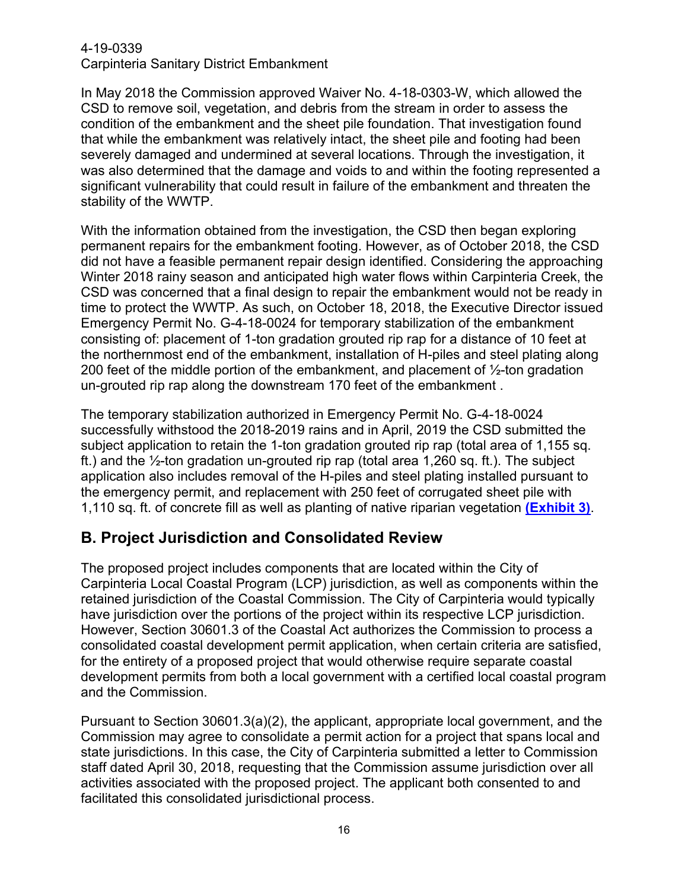In May 2018 the Commission approved Waiver No. 4-18-0303-W, which allowed the CSD to remove soil, vegetation, and debris from the stream in order to assess the condition of the embankment and the sheet pile foundation. That investigation found that while the embankment was relatively intact, the sheet pile and footing had been severely damaged and undermined at several locations. Through the investigation, it was also determined that the damage and voids to and within the footing represented a significant vulnerability that could result in failure of the embankment and threaten the stability of the WWTP.

With the information obtained from the investigation, the CSD then began exploring permanent repairs for the embankment footing. However, as of October 2018, the CSD did not have a feasible permanent repair design identified. Considering the approaching Winter 2018 rainy season and anticipated high water flows within Carpinteria Creek, the CSD was concerned that a final design to repair the embankment would not be ready in time to protect the WWTP. As such, on October 18, 2018, the Executive Director issued Emergency Permit No. G-4-18-0024 for temporary stabilization of the embankment consisting of: placement of 1-ton gradation grouted rip rap for a distance of 10 feet at the northernmost end of the embankment, installation of H-piles and steel plating along 200 feet of the middle portion of the embankment, and placement of ½-ton gradation un-grouted rip rap along the downstream 170 feet of the embankment .

The temporary stabilization authorized in Emergency Permit No. G-4-18-0024 successfully withstood the 2018-2019 rains and in April, 2019 the CSD submitted the subject application to retain the 1-ton gradation grouted rip rap (total area of 1,155 sq. ft.) and the ½-ton gradation un-grouted rip rap (total area 1,260 sq. ft.). The subject application also includes removal of the H-piles and steel plating installed pursuant to the emergency permit, and replacement with 250 feet of corrugated sheet pile with 1,110 sq. ft. of concrete fill as well as planting of native riparian vegetation **[\(Exhibit](https://documents.coastal.ca.gov/reports/2021/1/W22a/W22a-1-2021-exhibits.pdf) 3)**.

# <span id="page-15-0"></span>**B. Project Jurisdiction and Consolidated Review**

The proposed project includes components that are located within the City of Carpinteria Local Coastal Program (LCP) jurisdiction, as well as components within the retained jurisdiction of the Coastal Commission. The City of Carpinteria would typically have jurisdiction over the portions of the project within its respective LCP jurisdiction. However, Section 30601.3 of the Coastal Act authorizes the Commission to process a consolidated coastal development permit application, when certain criteria are satisfied, for the entirety of a proposed project that would otherwise require separate coastal development permits from both a local government with a certified local coastal program and the Commission.

Pursuant to Section 30601.3(a)(2), the applicant, appropriate local government, and the Commission may agree to consolidate a permit action for a project that spans local and state jurisdictions. In this case, the City of Carpinteria submitted a letter to Commission staff dated April 30, 2018, requesting that the Commission assume jurisdiction over all activities associated with the proposed project. The applicant both consented to and facilitated this consolidated jurisdictional process.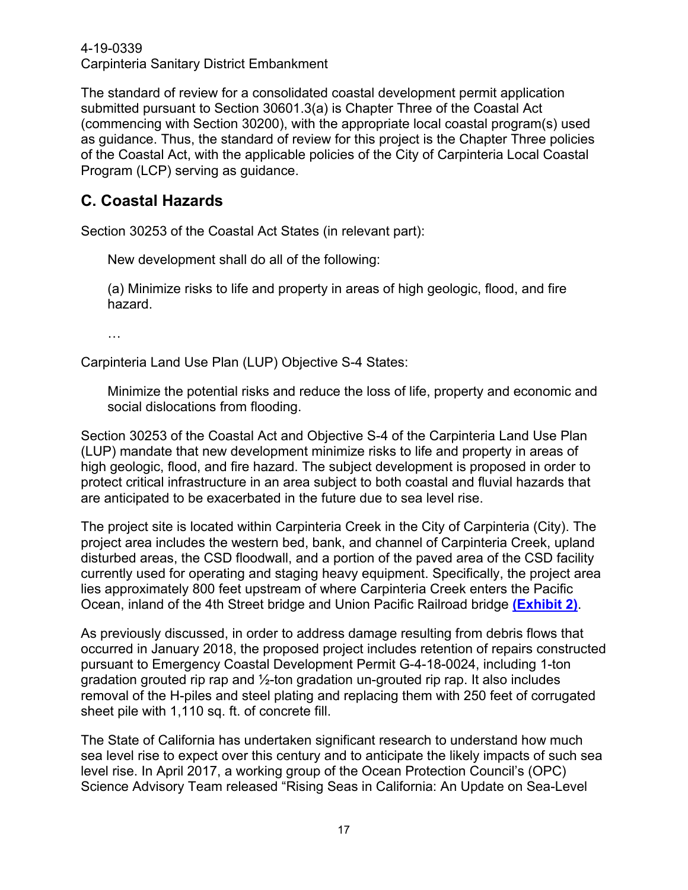The standard of review for a consolidated coastal development permit application submitted pursuant to Section 30601.3(a) is Chapter Three of the Coastal Act (commencing with Section 30200), with the appropriate local coastal program(s) used as guidance. Thus, the standard of review for this project is the Chapter Three policies of the Coastal Act, with the applicable policies of the City of Carpinteria Local Coastal Program (LCP) serving as guidance.

# <span id="page-16-0"></span>**C. Coastal Hazards**

Section 30253 of the Coastal Act States (in relevant part):

New development shall do all of the following:

(a) Minimize risks to life and property in areas of high geologic, flood, and fire hazard.

…

Carpinteria Land Use Plan (LUP) Objective S-4 States:

Minimize the potential risks and reduce the loss of life, property and economic and social dislocations from flooding.

Section 30253 of the Coastal Act and Objective S-4 of the Carpinteria Land Use Plan (LUP) mandate that new development minimize risks to life and property in areas of high geologic, flood, and fire hazard. The subject development is proposed in order to protect critical infrastructure in an area subject to both coastal and fluvial hazards that are anticipated to be exacerbated in the future due to sea level rise.

The project site is located within Carpinteria Creek in the City of Carpinteria (City). The project area includes the western bed, bank, and channel of Carpinteria Creek, upland disturbed areas, the CSD floodwall, and a portion of the paved area of the CSD facility currently used for operating and staging heavy equipment. Specifically, the project area lies approximately 800 feet upstream of where Carpinteria Creek enters the Pacific Ocean, inland of the 4th Street bridge and Union Pacific Railroad bridge **[\(Exhibit](https://documents.coastal.ca.gov/reports/2021/1/W22a/W22a-1-2021-exhibits.pdf) 2)**.

As previously discussed, in order to address damage resulting from debris flows that occurred in January 2018, the proposed project includes retention of repairs constructed pursuant to Emergency Coastal Development Permit G-4-18-0024, including 1-ton gradation grouted rip rap and ½-ton gradation un-grouted rip rap. It also includes removal of the H-piles and steel plating and replacing them with 250 feet of corrugated sheet pile with 1,110 sq. ft. of concrete fill.

The State of California has undertaken significant research to understand how much sea level rise to expect over this century and to anticipate the likely impacts of such sea level rise. In April 2017, a working group of the Ocean Protection Council's (OPC) Science Advisory Team released "Rising Seas in California: An Update on Sea-Level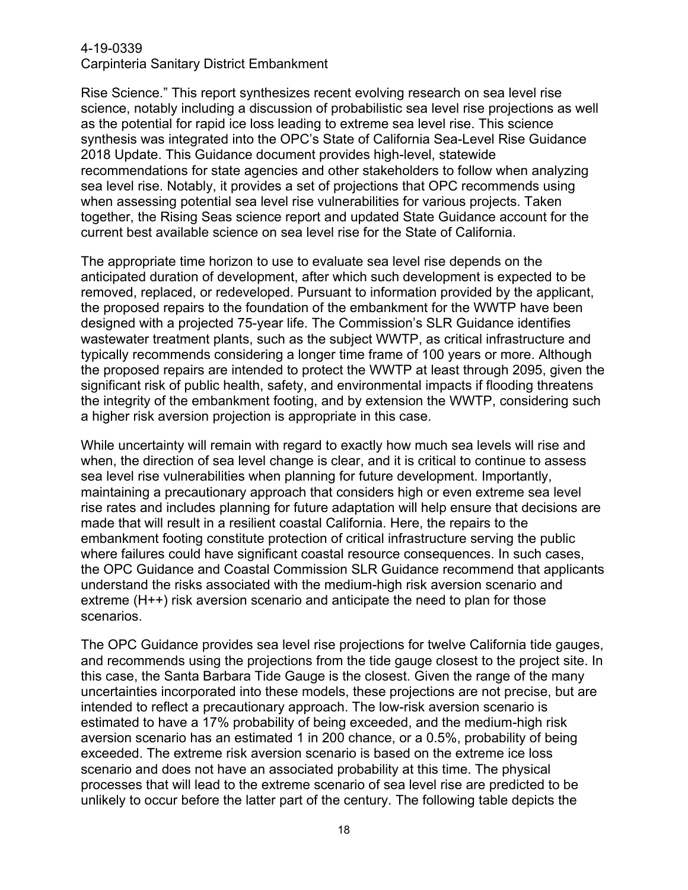Rise Science." This report synthesizes recent evolving research on sea level rise science, notably including a discussion of probabilistic sea level rise projections as well as the potential for rapid ice loss leading to extreme sea level rise. This science synthesis was integrated into the OPC's State of California Sea-Level Rise Guidance 2018 Update. This Guidance document provides high-level, statewide recommendations for state agencies and other stakeholders to follow when analyzing sea level rise. Notably, it provides a set of projections that OPC recommends using when assessing potential sea level rise vulnerabilities for various projects. Taken together, the Rising Seas science report and updated State Guidance account for the current best available science on sea level rise for the State of California.

The appropriate time horizon to use to evaluate sea level rise depends on the anticipated duration of development, after which such development is expected to be removed, replaced, or redeveloped. Pursuant to information provided by the applicant, the proposed repairs to the foundation of the embankment for the WWTP have been designed with a projected 75-year life. The Commission's SLR Guidance identifies wastewater treatment plants, such as the subject WWTP, as critical infrastructure and typically recommends considering a longer time frame of 100 years or more. Although the proposed repairs are intended to protect the WWTP at least through 2095, given the significant risk of public health, safety, and environmental impacts if flooding threatens the integrity of the embankment footing, and by extension the WWTP, considering such a higher risk aversion projection is appropriate in this case.

While uncertainty will remain with regard to exactly how much sea levels will rise and when, the direction of sea level change is clear, and it is critical to continue to assess sea level rise vulnerabilities when planning for future development. Importantly, maintaining a precautionary approach that considers high or even extreme sea level rise rates and includes planning for future adaptation will help ensure that decisions are made that will result in a resilient coastal California. Here, the repairs to the embankment footing constitute protection of critical infrastructure serving the public where failures could have significant coastal resource consequences. In such cases, the OPC Guidance and Coastal Commission SLR Guidance recommend that applicants understand the risks associated with the medium-high risk aversion scenario and extreme (H++) risk aversion scenario and anticipate the need to plan for those scenarios.

The OPC Guidance provides sea level rise projections for twelve California tide gauges, and recommends using the projections from the tide gauge closest to the project site. In this case, the Santa Barbara Tide Gauge is the closest. Given the range of the many uncertainties incorporated into these models, these projections are not precise, but are intended to reflect a precautionary approach. The low-risk aversion scenario is estimated to have a 17% probability of being exceeded, and the medium-high risk aversion scenario has an estimated 1 in 200 chance, or a 0.5%, probability of being exceeded. The extreme risk aversion scenario is based on the extreme ice loss scenario and does not have an associated probability at this time. The physical processes that will lead to the extreme scenario of sea level rise are predicted to be unlikely to occur before the latter part of the century. The following table depicts the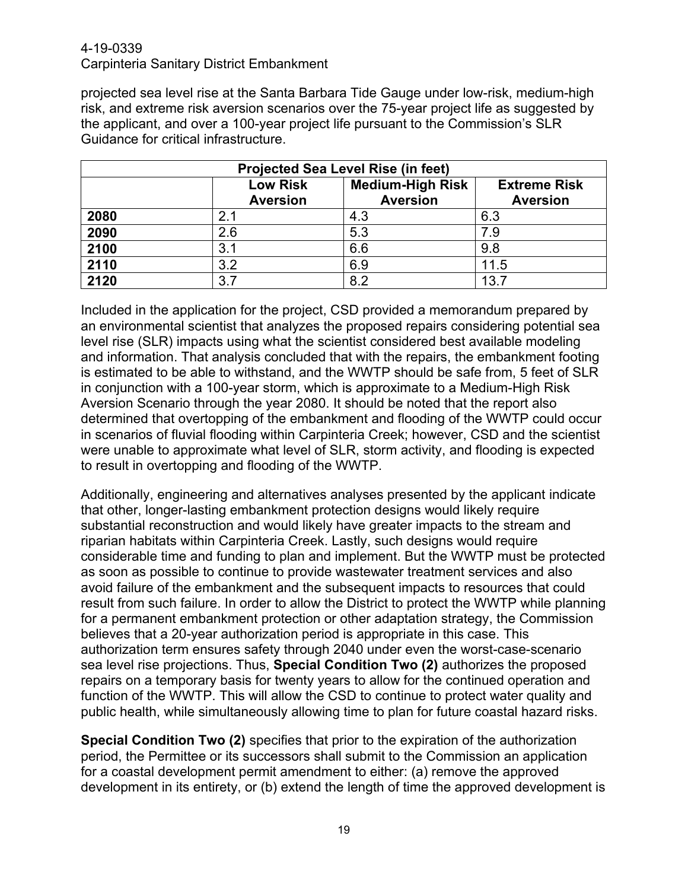projected sea level rise at the Santa Barbara Tide Gauge under low-risk, medium-high risk, and extreme risk aversion scenarios over the 75-year project life as suggested by the applicant, and over a 100-year project life pursuant to the Commission's SLR Guidance for critical infrastructure.

| <b>Projected Sea Level Rise (in feet)</b> |                                    |                                            |                                        |  |  |  |
|-------------------------------------------|------------------------------------|--------------------------------------------|----------------------------------------|--|--|--|
|                                           | <b>Low Risk</b><br><b>Aversion</b> | <b>Medium-High Risk</b><br><b>Aversion</b> | <b>Extreme Risk</b><br><b>Aversion</b> |  |  |  |
| 2080                                      | 2.1                                | 4.3                                        | 6.3                                    |  |  |  |
| 2090                                      | 2.6                                | 5.3                                        | 7.9                                    |  |  |  |
| 2100                                      | 3.1                                | 6.6                                        | 9.8                                    |  |  |  |
| 2110                                      | 3.2                                | 6.9                                        | 11.5                                   |  |  |  |
| 2120                                      | 3.7                                | 8.2                                        | 13.7                                   |  |  |  |

Included in the application for the project, CSD provided a memorandum prepared by an environmental scientist that analyzes the proposed repairs considering potential sea level rise (SLR) impacts using what the scientist considered best available modeling and information. That analysis concluded that with the repairs, the embankment footing is estimated to be able to withstand, and the WWTP should be safe from, 5 feet of SLR in conjunction with a 100-year storm, which is approximate to a Medium-High Risk Aversion Scenario through the year 2080. It should be noted that the report also determined that overtopping of the embankment and flooding of the WWTP could occur in scenarios of fluvial flooding within Carpinteria Creek; however, CSD and the scientist were unable to approximate what level of SLR, storm activity, and flooding is expected to result in overtopping and flooding of the WWTP.

Additionally, engineering and alternatives analyses presented by the applicant indicate that other, longer-lasting embankment protection designs would likely require substantial reconstruction and would likely have greater impacts to the stream and riparian habitats within Carpinteria Creek. Lastly, such designs would require considerable time and funding to plan and implement. But the WWTP must be protected as soon as possible to continue to provide wastewater treatment services and also avoid failure of the embankment and the subsequent impacts to resources that could result from such failure. In order to allow the District to protect the WWTP while planning for a permanent embankment protection or other adaptation strategy, the Commission believes that a 20-year authorization period is appropriate in this case. This authorization term ensures safety through 2040 under even the worst-case-scenario sea level rise projections. Thus, **Special Condition Two (2)** authorizes the proposed repairs on a temporary basis for twenty years to allow for the continued operation and function of the WWTP. This will allow the CSD to continue to protect water quality and public health, while simultaneously allowing time to plan for future coastal hazard risks.

**Special Condition Two (2)** specifies that prior to the expiration of the authorization period, the Permittee or its successors shall submit to the Commission an application for a coastal development permit amendment to either: (a) remove the approved development in its entirety, or (b) extend the length of time the approved development is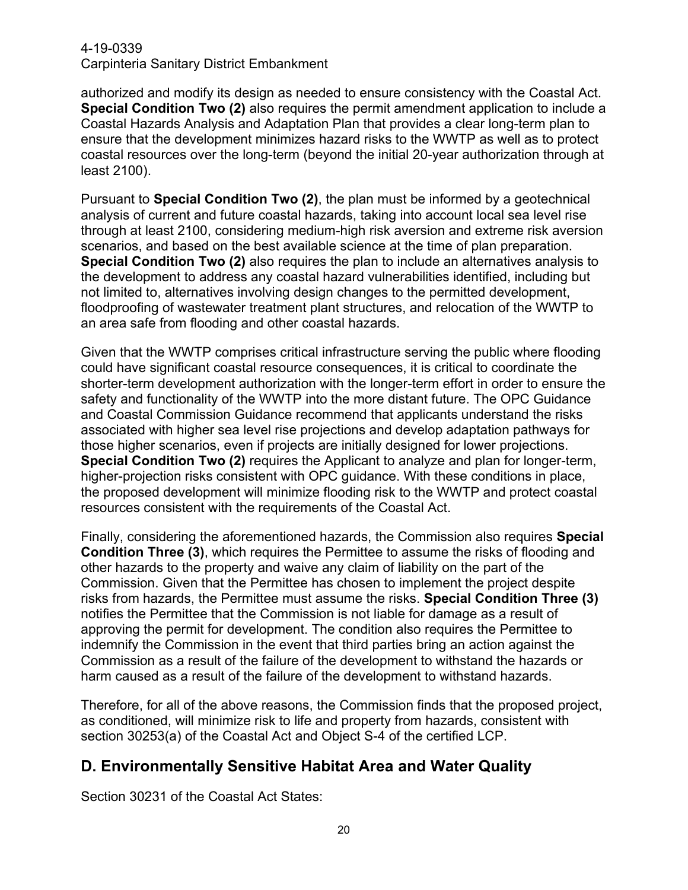authorized and modify its design as needed to ensure consistency with the Coastal Act. **Special Condition Two (2)** also requires the permit amendment application to include a Coastal Hazards Analysis and Adaptation Plan that provides a clear long-term plan to ensure that the development minimizes hazard risks to the WWTP as well as to protect coastal resources over the long-term (beyond the initial 20-year authorization through at least 2100).

Pursuant to **Special Condition Two (2)**, the plan must be informed by a geotechnical analysis of current and future coastal hazards, taking into account local sea level rise through at least 2100, considering medium-high risk aversion and extreme risk aversion scenarios, and based on the best available science at the time of plan preparation. **Special Condition Two (2)** also requires the plan to include an alternatives analysis to the development to address any coastal hazard vulnerabilities identified, including but not limited to, alternatives involving design changes to the permitted development, floodproofing of wastewater treatment plant structures, and relocation of the WWTP to an area safe from flooding and other coastal hazards.

Given that the WWTP comprises critical infrastructure serving the public where flooding could have significant coastal resource consequences, it is critical to coordinate the shorter-term development authorization with the longer-term effort in order to ensure the safety and functionality of the WWTP into the more distant future. The OPC Guidance and Coastal Commission Guidance recommend that applicants understand the risks associated with higher sea level rise projections and develop adaptation pathways for those higher scenarios, even if projects are initially designed for lower projections. **Special Condition Two (2)** requires the Applicant to analyze and plan for longer-term, higher-projection risks consistent with OPC guidance. With these conditions in place, the proposed development will minimize flooding risk to the WWTP and protect coastal resources consistent with the requirements of the Coastal Act.

Finally, considering the aforementioned hazards, the Commission also requires **Special Condition Three (3)**, which requires the Permittee to assume the risks of flooding and other hazards to the property and waive any claim of liability on the part of the Commission. Given that the Permittee has chosen to implement the project despite risks from hazards, the Permittee must assume the risks. **Special Condition Three (3)** notifies the Permittee that the Commission is not liable for damage as a result of approving the permit for development. The condition also requires the Permittee to indemnify the Commission in the event that third parties bring an action against the Commission as a result of the failure of the development to withstand the hazards or harm caused as a result of the failure of the development to withstand hazards.

Therefore, for all of the above reasons, the Commission finds that the proposed project, as conditioned, will minimize risk to life and property from hazards, consistent with section 30253(a) of the Coastal Act and Object S-4 of the certified LCP.

# <span id="page-19-0"></span>**D. Environmentally Sensitive Habitat Area and Water Quality**

Section 30231 of the Coastal Act States: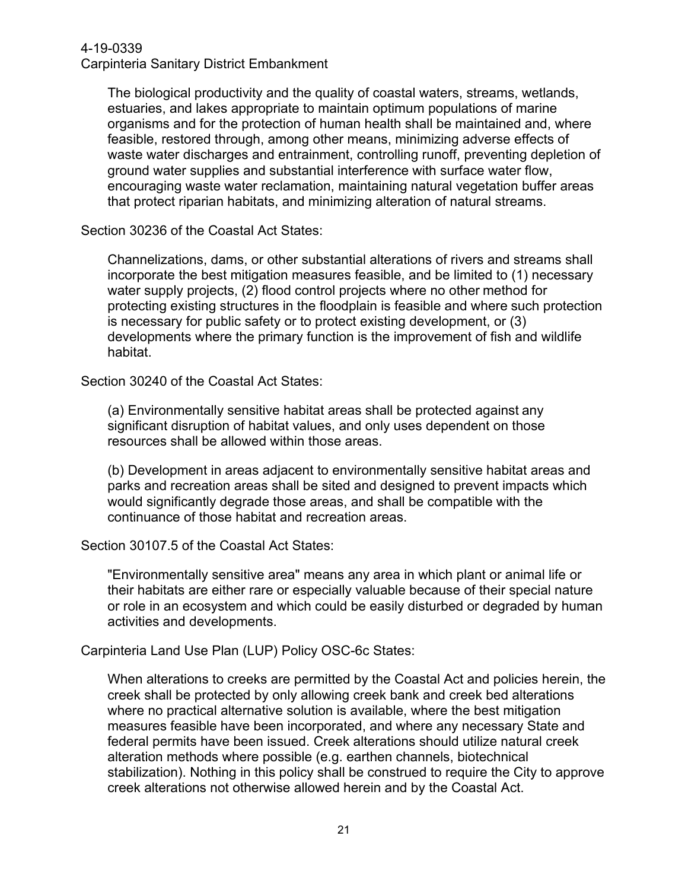The biological productivity and the quality of coastal waters, streams, wetlands, estuaries, and lakes appropriate to maintain optimum populations of marine organisms and for the protection of human health shall be maintained and, where feasible, restored through, among other means, minimizing adverse effects of waste water discharges and entrainment, controlling runoff, preventing depletion of ground water supplies and substantial interference with surface water flow, encouraging waste water reclamation, maintaining natural vegetation buffer areas that protect riparian habitats, and minimizing alteration of natural streams.

Section 30236 of the Coastal Act States:

Channelizations, dams, or other substantial alterations of rivers and streams shall incorporate the best mitigation measures feasible, and be limited to (1) necessary water supply projects, (2) flood control projects where no other method for protecting existing structures in the floodplain is feasible and where such protection is necessary for public safety or to protect existing development, or (3) developments where the primary function is the improvement of fish and wildlife habitat.

Section 30240 of the Coastal Act States:

(a) Environmentally sensitive habitat areas shall be protected against any significant disruption of habitat values, and only uses dependent on those resources shall be allowed within those areas.

(b) Development in areas adjacent to environmentally sensitive habitat areas and parks and recreation areas shall be sited and designed to prevent impacts which would significantly degrade those areas, and shall be compatible with the continuance of those habitat and recreation areas.

Section 30107.5 of the Coastal Act States:

"Environmentally sensitive area" means any area in which plant or animal life or their habitats are either rare or especially valuable because of their special nature or role in an ecosystem and which could be easily disturbed or degraded by human activities and developments.

Carpinteria Land Use Plan (LUP) Policy OSC-6c States:

When alterations to creeks are permitted by the Coastal Act and policies herein, the creek shall be protected by only allowing creek bank and creek bed alterations where no practical alternative solution is available, where the best mitigation measures feasible have been incorporated, and where any necessary State and federal permits have been issued. Creek alterations should utilize natural creek alteration methods where possible (e.g. earthen channels, biotechnical stabilization). Nothing in this policy shall be construed to require the City to approve creek alterations not otherwise allowed herein and by the Coastal Act.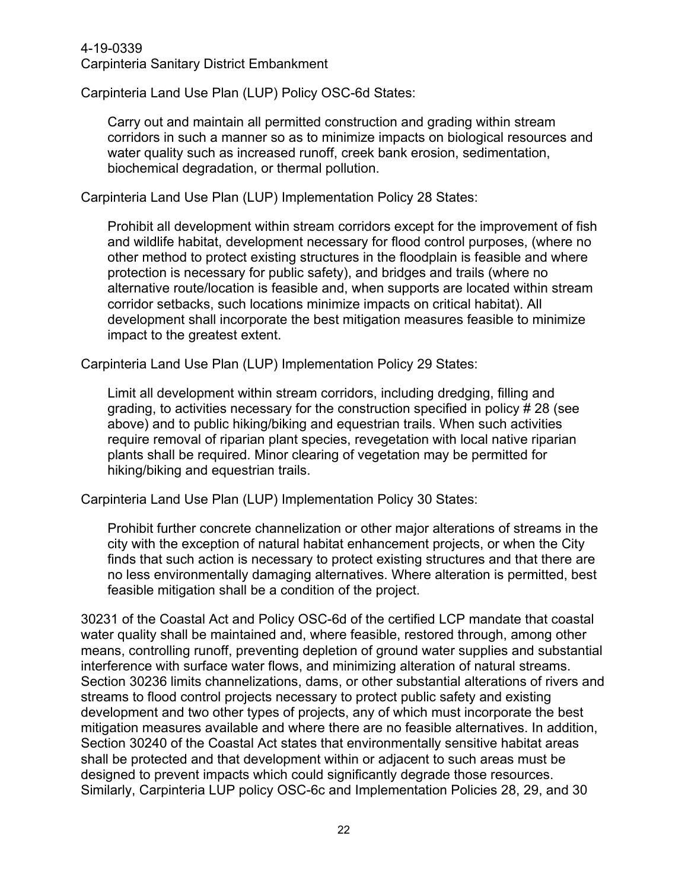Carpinteria Land Use Plan (LUP) Policy OSC-6d States:

Carry out and maintain all permitted construction and grading within stream corridors in such a manner so as to minimize impacts on biological resources and water quality such as increased runoff, creek bank erosion, sedimentation, biochemical degradation, or thermal pollution.

Carpinteria Land Use Plan (LUP) Implementation Policy 28 States:

Prohibit all development within stream corridors except for the improvement of fish and wildlife habitat, development necessary for flood control purposes, (where no other method to protect existing structures in the floodplain is feasible and where protection is necessary for public safety), and bridges and trails (where no alternative route/location is feasible and, when supports are located within stream corridor setbacks, such locations minimize impacts on critical habitat). All development shall incorporate the best mitigation measures feasible to minimize impact to the greatest extent.

Carpinteria Land Use Plan (LUP) Implementation Policy 29 States:

Limit all development within stream corridors, including dredging, filling and grading, to activities necessary for the construction specified in policy # 28 (see above) and to public hiking/biking and equestrian trails. When such activities require removal of riparian plant species, revegetation with local native riparian plants shall be required. Minor clearing of vegetation may be permitted for hiking/biking and equestrian trails.

Carpinteria Land Use Plan (LUP) Implementation Policy 30 States:

Prohibit further concrete channelization or other major alterations of streams in the city with the exception of natural habitat enhancement projects, or when the City finds that such action is necessary to protect existing structures and that there are no less environmentally damaging alternatives. Where alteration is permitted, best feasible mitigation shall be a condition of the project.

30231 of the Coastal Act and Policy OSC-6d of the certified LCP mandate that coastal water quality shall be maintained and, where feasible, restored through, among other means, controlling runoff, preventing depletion of ground water supplies and substantial interference with surface water flows, and minimizing alteration of natural streams. Section 30236 limits channelizations, dams, or other substantial alterations of rivers and streams to flood control projects necessary to protect public safety and existing development and two other types of projects, any of which must incorporate the best mitigation measures available and where there are no feasible alternatives. In addition, Section 30240 of the Coastal Act states that environmentally sensitive habitat areas shall be protected and that development within or adjacent to such areas must be designed to prevent impacts which could significantly degrade those resources. Similarly, Carpinteria LUP policy OSC-6c and Implementation Policies 28, 29, and 30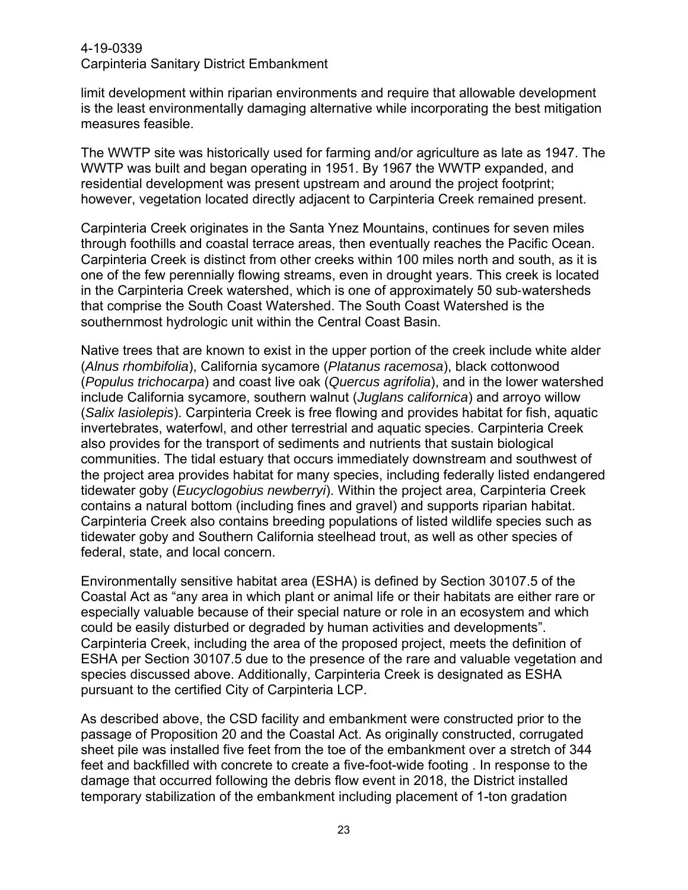limit development within riparian environments and require that allowable development is the least environmentally damaging alternative while incorporating the best mitigation measures feasible.

The WWTP site was historically used for farming and/or agriculture as late as 1947. The WWTP was built and began operating in 1951. By 1967 the WWTP expanded, and residential development was present upstream and around the project footprint; however, vegetation located directly adjacent to Carpinteria Creek remained present.

Carpinteria Creek originates in the Santa Ynez Mountains, continues for seven miles through foothills and coastal terrace areas, then eventually reaches the Pacific Ocean. Carpinteria Creek is distinct from other creeks within 100 miles north and south, as it is one of the few perennially flowing streams, even in drought years. This creek is located in the Carpinteria Creek watershed, which is one of approximately 50 sub‐watersheds that comprise the South Coast Watershed. The South Coast Watershed is the southernmost hydrologic unit within the Central Coast Basin.

Native trees that are known to exist in the upper portion of the creek include white alder (*Alnus rhombifolia*), California sycamore (*Platanus racemosa*), black cottonwood (*Populus trichocarpa*) and coast live oak (*Quercus agrifolia*), and in the lower watershed include California sycamore, southern walnut (*Juglans californica*) and arroyo willow (*Salix lasiolepis*). Carpinteria Creek is free flowing and provides habitat for fish, aquatic invertebrates, waterfowl, and other terrestrial and aquatic species. Carpinteria Creek also provides for the transport of sediments and nutrients that sustain biological communities. The tidal estuary that occurs immediately downstream and southwest of the project area provides habitat for many species, including federally listed endangered tidewater goby (*Eucyclogobius newberryi*). Within the project area, Carpinteria Creek contains a natural bottom (including fines and gravel) and supports riparian habitat. Carpinteria Creek also contains breeding populations of listed wildlife species such as tidewater goby and Southern California steelhead trout, as well as other species of federal, state, and local concern.

Environmentally sensitive habitat area (ESHA) is defined by Section 30107.5 of the Coastal Act as "any area in which plant or animal life or their habitats are either rare or especially valuable because of their special nature or role in an ecosystem and which could be easily disturbed or degraded by human activities and developments". Carpinteria Creek, including the area of the proposed project, meets the definition of ESHA per Section 30107.5 due to the presence of the rare and valuable vegetation and species discussed above. Additionally, Carpinteria Creek is designated as ESHA pursuant to the certified City of Carpinteria LCP.

As described above, the CSD facility and embankment were constructed prior to the passage of Proposition 20 and the Coastal Act. As originally constructed, corrugated sheet pile was installed five feet from the toe of the embankment over a stretch of 344 feet and backfilled with concrete to create a five-foot-wide footing . In response to the damage that occurred following the debris flow event in 2018, the District installed temporary stabilization of the embankment including placement of 1-ton gradation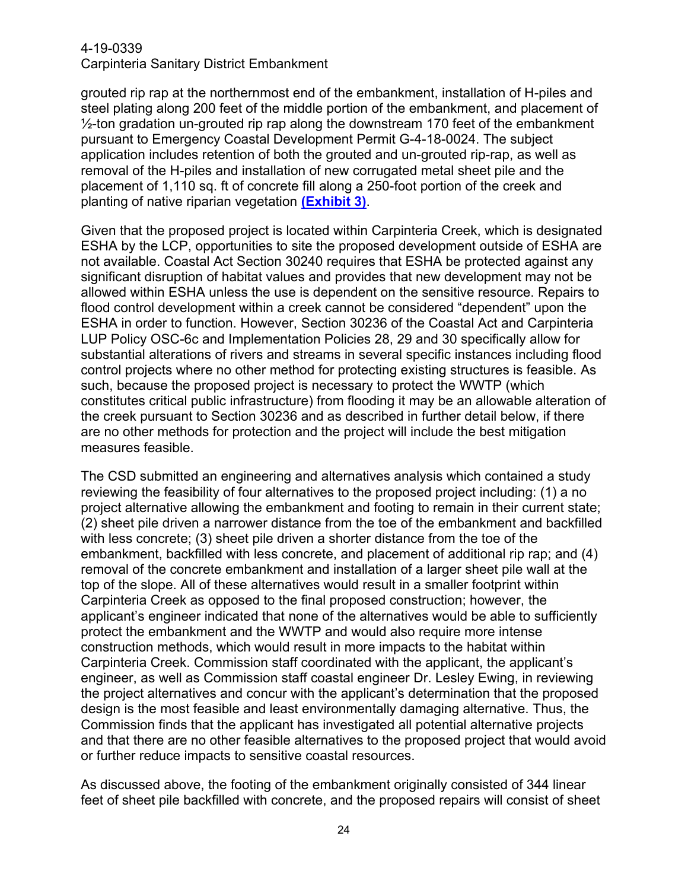grouted rip rap at the northernmost end of the embankment, installation of H-piles and steel plating along 200 feet of the middle portion of the embankment, and placement of  $\frac{1}{2}$ -ton gradation un-grouted rip rap along the downstream 170 feet of the embankment pursuant to Emergency Coastal Development Permit G-4-18-0024. The subject application includes retention of both the grouted and un-grouted rip-rap, as well as removal of the H-piles and installation of new corrugated metal sheet pile and the placement of 1,110 sq. ft of concrete fill along a 250-foot portion of the creek and planting of native riparian vegetation **[\(Exhibit](https://documents.coastal.ca.gov/reports/2021/1/W22a/W22a-1-2021-exhibits.pdf) 3)**.

Given that the proposed project is located within Carpinteria Creek, which is designated ESHA by the LCP, opportunities to site the proposed development outside of ESHA are not available. Coastal Act Section 30240 requires that ESHA be protected against any significant disruption of habitat values and provides that new development may not be allowed within ESHA unless the use is dependent on the sensitive resource. Repairs to flood control development within a creek cannot be considered "dependent" upon the ESHA in order to function. However, Section 30236 of the Coastal Act and Carpinteria LUP Policy OSC-6c and Implementation Policies 28, 29 and 30 specifically allow for substantial alterations of rivers and streams in several specific instances including flood control projects where no other method for protecting existing structures is feasible. As such, because the proposed project is necessary to protect the WWTP (which constitutes critical public infrastructure) from flooding it may be an allowable alteration of the creek pursuant to Section 30236 and as described in further detail below, if there are no other methods for protection and the project will include the best mitigation measures feasible.

The CSD submitted an engineering and alternatives analysis which contained a study reviewing the feasibility of four alternatives to the proposed project including: (1) a no project alternative allowing the embankment and footing to remain in their current state; (2) sheet pile driven a narrower distance from the toe of the embankment and backfilled with less concrete; (3) sheet pile driven a shorter distance from the toe of the embankment, backfilled with less concrete, and placement of additional rip rap; and (4) removal of the concrete embankment and installation of a larger sheet pile wall at the top of the slope. All of these alternatives would result in a smaller footprint within Carpinteria Creek as opposed to the final proposed construction; however, the applicant's engineer indicated that none of the alternatives would be able to sufficiently protect the embankment and the WWTP and would also require more intense construction methods, which would result in more impacts to the habitat within Carpinteria Creek. Commission staff coordinated with the applicant, the applicant's engineer, as well as Commission staff coastal engineer Dr. Lesley Ewing, in reviewing the project alternatives and concur with the applicant's determination that the proposed design is the most feasible and least environmentally damaging alternative. Thus, the Commission finds that the applicant has investigated all potential alternative projects and that there are no other feasible alternatives to the proposed project that would avoid or further reduce impacts to sensitive coastal resources.

As discussed above, the footing of the embankment originally consisted of 344 linear feet of sheet pile backfilled with concrete, and the proposed repairs will consist of sheet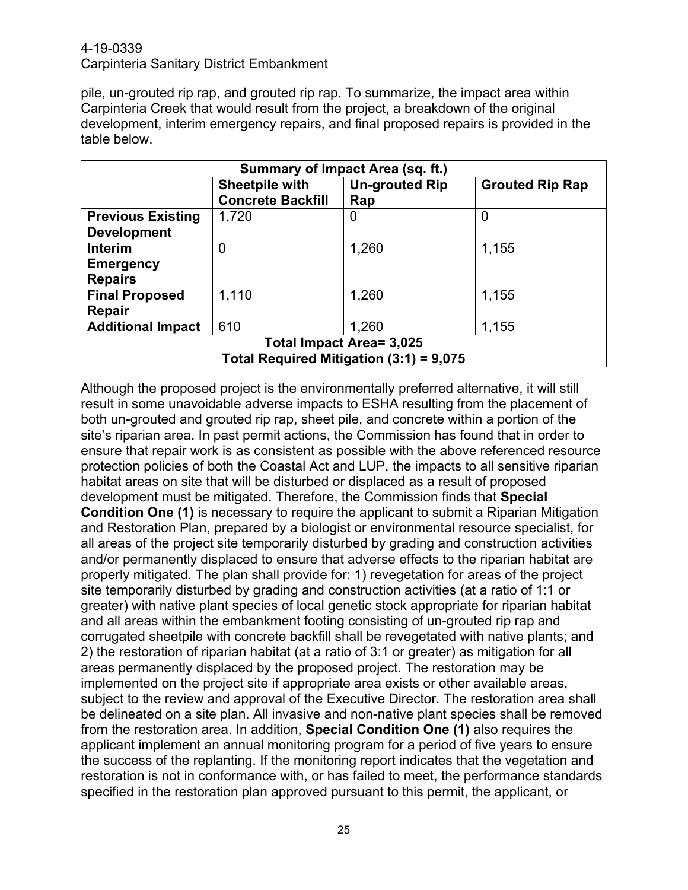pile, un-grouted rip rap, and grouted rip rap. To summarize, the impact area within Carpinteria Creek that would result from the project, a breakdown of the original development, interim emergency repairs, and final proposed repairs is provided in the table below.

| Summary of Impact Area (sq. ft.)        |                                                   |                              |                        |  |  |  |  |
|-----------------------------------------|---------------------------------------------------|------------------------------|------------------------|--|--|--|--|
|                                         | <b>Sheetpile with</b><br><b>Concrete Backfill</b> | <b>Un-grouted Rip</b><br>Rap | <b>Grouted Rip Rap</b> |  |  |  |  |
| <b>Previous Existing</b>                | 1,720                                             | 0                            | 0                      |  |  |  |  |
| <b>Development</b>                      |                                                   |                              |                        |  |  |  |  |
| Interim                                 | 0                                                 | 1,260                        | 1,155                  |  |  |  |  |
| <b>Emergency</b>                        |                                                   |                              |                        |  |  |  |  |
| <b>Repairs</b>                          |                                                   |                              |                        |  |  |  |  |
| <b>Final Proposed</b>                   | 1,110                                             | 1,260                        | 1,155                  |  |  |  |  |
| Repair                                  |                                                   |                              |                        |  |  |  |  |
| <b>Additional Impact</b>                | 610                                               | 1,260                        | 1,155                  |  |  |  |  |
| Total Impact Area= 3,025                |                                                   |                              |                        |  |  |  |  |
| Total Required Mitigation (3:1) = 9,075 |                                                   |                              |                        |  |  |  |  |

Although the proposed project is the environmentally preferred alternative, it will still result in some unavoidable adverse impacts to ESHA resulting from the placement of both un-grouted and grouted rip rap, sheet pile, and concrete within a portion of the site's riparian area. In past permit actions, the Commission has found that in order to ensure that repair work is as consistent as possible with the above referenced resource protection policies of both the Coastal Act and LUP, the impacts to all sensitive riparian habitat areas on site that will be disturbed or displaced as a result of proposed development must be mitigated. Therefore, the Commission finds that **Special Condition One (1)** is necessary to require the applicant to submit a Riparian Mitigation and Restoration Plan, prepared by a biologist or environmental resource specialist, for all areas of the project site temporarily disturbed by grading and construction activities and/or permanently displaced to ensure that adverse effects to the riparian habitat are properly mitigated. The plan shall provide for: 1) revegetation for areas of the project site temporarily disturbed by grading and construction activities (at a ratio of 1:1 or greater) with native plant species of local genetic stock appropriate for riparian habitat and all areas within the embankment footing consisting of un-grouted rip rap and corrugated sheetpile with concrete backfill shall be revegetated with native plants; and 2) the restoration of riparian habitat (at a ratio of 3:1 or greater) as mitigation for all areas permanently displaced by the proposed project. The restoration may be implemented on the project site if appropriate area exists or other available areas, subject to the review and approval of the Executive Director. The restoration area shall be delineated on a site plan. All invasive and non-native plant species shall be removed from the restoration area. In addition, **Special Condition One (1)** also requires the applicant implement an annual monitoring program for a period of five years to ensure the success of the replanting. If the monitoring report indicates that the vegetation and restoration is not in conformance with, or has failed to meet, the performance standards specified in the restoration plan approved pursuant to this permit, the applicant, or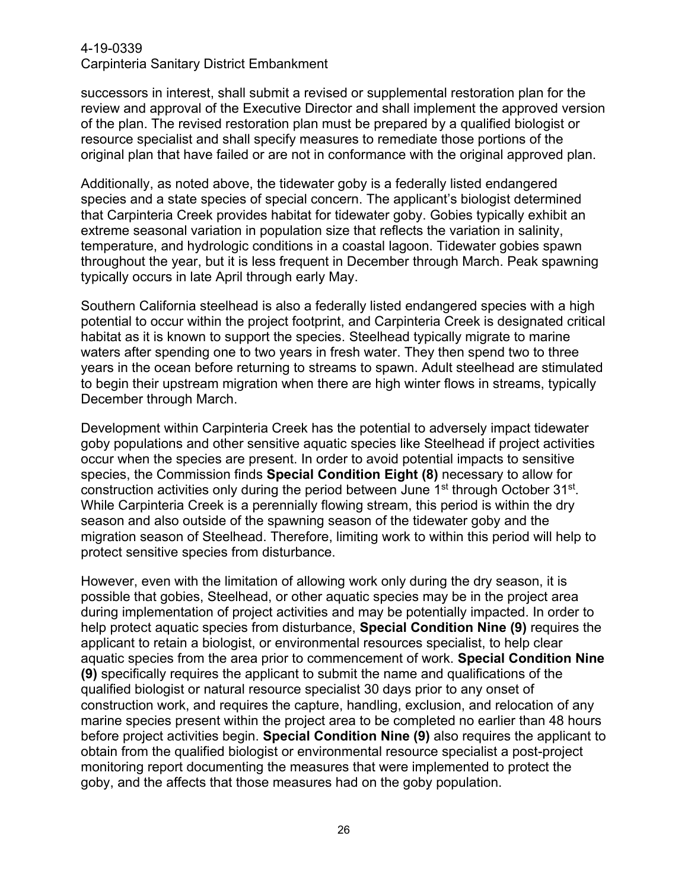successors in interest, shall submit a revised or supplemental restoration plan for the review and approval of the Executive Director and shall implement the approved version of the plan. The revised restoration plan must be prepared by a qualified biologist or resource specialist and shall specify measures to remediate those portions of the original plan that have failed or are not in conformance with the original approved plan.

Additionally, as noted above, the tidewater goby is a federally listed endangered species and a state species of special concern. The applicant's biologist determined that Carpinteria Creek provides habitat for tidewater goby. Gobies typically exhibit an extreme seasonal variation in population size that reflects the variation in salinity, temperature, and hydrologic conditions in a coastal lagoon. Tidewater gobies spawn throughout the year, but it is less frequent in December through March. Peak spawning typically occurs in late April through early May.

Southern California steelhead is also a federally listed endangered species with a high potential to occur within the project footprint, and Carpinteria Creek is designated critical habitat as it is known to support the species. Steelhead typically migrate to marine waters after spending one to two years in fresh water. They then spend two to three years in the ocean before returning to streams to spawn. Adult steelhead are stimulated to begin their upstream migration when there are high winter flows in streams, typically December through March.

Development within Carpinteria Creek has the potential to adversely impact tidewater goby populations and other sensitive aquatic species like Steelhead if project activities occur when the species are present. In order to avoid potential impacts to sensitive species, the Commission finds **Special Condition Eight (8)** necessary to allow for construction activities only during the period between June 1<sup>st</sup> through October 31<sup>st</sup>. While Carpinteria Creek is a perennially flowing stream, this period is within the dry season and also outside of the spawning season of the tidewater goby and the migration season of Steelhead. Therefore, limiting work to within this period will help to protect sensitive species from disturbance.

However, even with the limitation of allowing work only during the dry season, it is possible that gobies, Steelhead, or other aquatic species may be in the project area during implementation of project activities and may be potentially impacted. In order to help protect aquatic species from disturbance, **Special Condition Nine (9)** requires the applicant to retain a biologist, or environmental resources specialist, to help clear aquatic species from the area prior to commencement of work. **Special Condition Nine (9)** specifically requires the applicant to submit the name and qualifications of the qualified biologist or natural resource specialist 30 days prior to any onset of construction work, and requires the capture, handling, exclusion, and relocation of any marine species present within the project area to be completed no earlier than 48 hours before project activities begin. **Special Condition Nine (9)** also requires the applicant to obtain from the qualified biologist or environmental resource specialist a post-project monitoring report documenting the measures that were implemented to protect the goby, and the affects that those measures had on the goby population.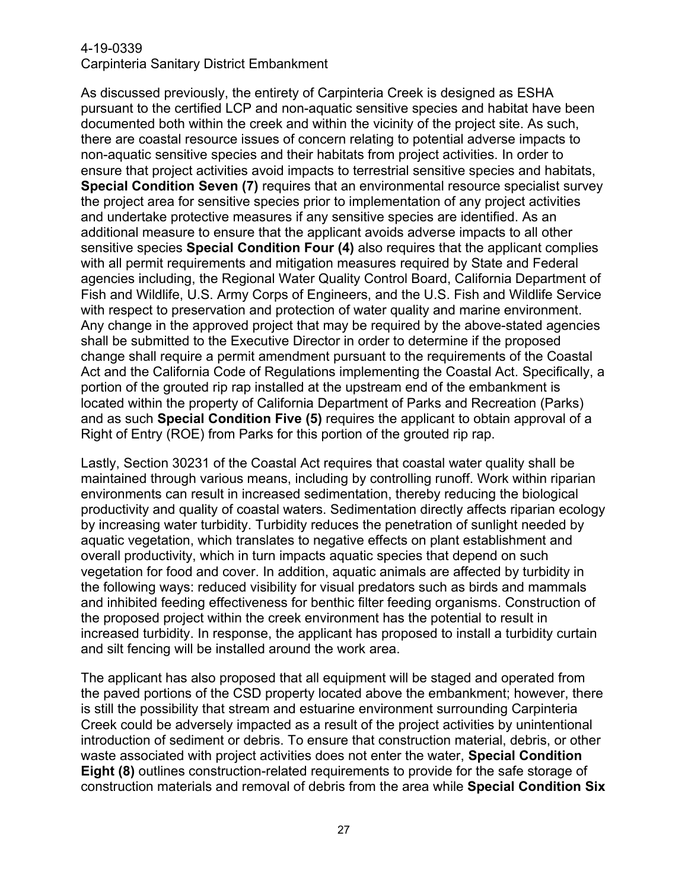As discussed previously, the entirety of Carpinteria Creek is designed as ESHA pursuant to the certified LCP and non-aquatic sensitive species and habitat have been documented both within the creek and within the vicinity of the project site. As such, there are coastal resource issues of concern relating to potential adverse impacts to non-aquatic sensitive species and their habitats from project activities. In order to ensure that project activities avoid impacts to terrestrial sensitive species and habitats, **Special Condition Seven (7)** requires that an environmental resource specialist survey the project area for sensitive species prior to implementation of any project activities and undertake protective measures if any sensitive species are identified. As an additional measure to ensure that the applicant avoids adverse impacts to all other sensitive species **Special Condition Four (4)** also requires that the applicant complies with all permit requirements and mitigation measures required by State and Federal agencies including, the Regional Water Quality Control Board, California Department of Fish and Wildlife, U.S. Army Corps of Engineers, and the U.S. Fish and Wildlife Service with respect to preservation and protection of water quality and marine environment. Any change in the approved project that may be required by the above-stated agencies shall be submitted to the Executive Director in order to determine if the proposed change shall require a permit amendment pursuant to the requirements of the Coastal Act and the California Code of Regulations implementing the Coastal Act. Specifically, a portion of the grouted rip rap installed at the upstream end of the embankment is located within the property of California Department of Parks and Recreation (Parks) and as such **Special Condition Five (5)** requires the applicant to obtain approval of a Right of Entry (ROE) from Parks for this portion of the grouted rip rap.

Lastly, Section 30231 of the Coastal Act requires that coastal water quality shall be maintained through various means, including by controlling runoff. Work within riparian environments can result in increased sedimentation, thereby reducing the biological productivity and quality of coastal waters. Sedimentation directly affects riparian ecology by increasing water turbidity. Turbidity reduces the penetration of sunlight needed by aquatic vegetation, which translates to negative effects on plant establishment and overall productivity, which in turn impacts aquatic species that depend on such vegetation for food and cover. In addition, aquatic animals are affected by turbidity in the following ways: reduced visibility for visual predators such as birds and mammals and inhibited feeding effectiveness for benthic filter feeding organisms. Construction of the proposed project within the creek environment has the potential to result in increased turbidity. In response, the applicant has proposed to install a turbidity curtain and silt fencing will be installed around the work area.

The applicant has also proposed that all equipment will be staged and operated from the paved portions of the CSD property located above the embankment; however, there is still the possibility that stream and estuarine environment surrounding Carpinteria Creek could be adversely impacted as a result of the project activities by unintentional introduction of sediment or debris. To ensure that construction material, debris, or other waste associated with project activities does not enter the water, **Special Condition Eight (8)** outlines construction-related requirements to provide for the safe storage of construction materials and removal of debris from the area while **Special Condition Six**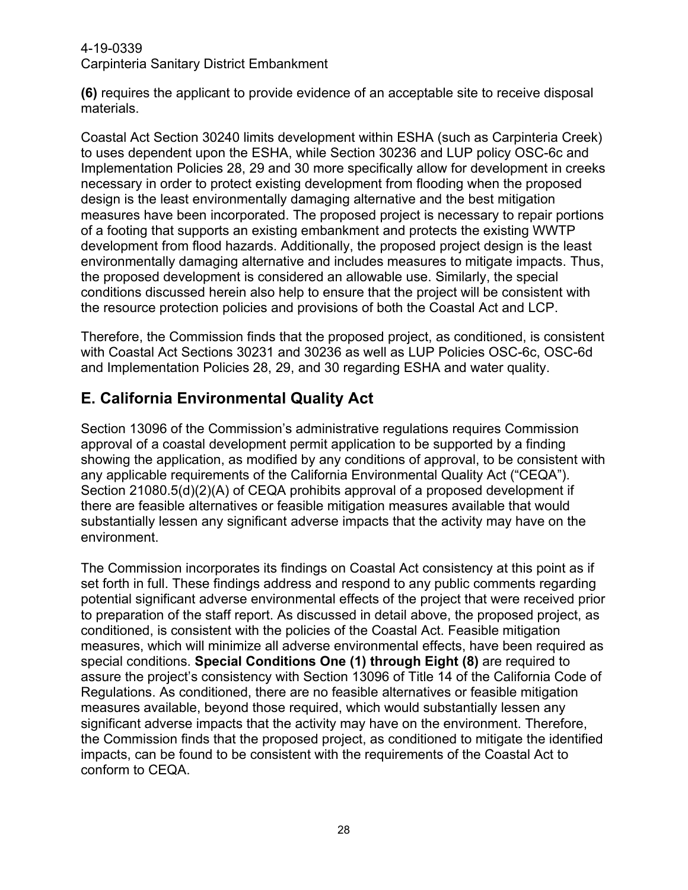**(6)** requires the applicant to provide evidence of an acceptable site to receive disposal materials.

Coastal Act Section 30240 limits development within ESHA (such as Carpinteria Creek) to uses dependent upon the ESHA, while Section 30236 and LUP policy OSC-6c and Implementation Policies 28, 29 and 30 more specifically allow for development in creeks necessary in order to protect existing development from flooding when the proposed design is the least environmentally damaging alternative and the best mitigation measures have been incorporated. The proposed project is necessary to repair portions of a footing that supports an existing embankment and protects the existing WWTP development from flood hazards. Additionally, the proposed project design is the least environmentally damaging alternative and includes measures to mitigate impacts. Thus, the proposed development is considered an allowable use. Similarly, the special conditions discussed herein also help to ensure that the project will be consistent with the resource protection policies and provisions of both the Coastal Act and LCP.

Therefore, the Commission finds that the proposed project, as conditioned, is consistent with Coastal Act Sections 30231 and 30236 as well as LUP Policies OSC-6c, OSC-6d and Implementation Policies 28, 29, and 30 regarding ESHA and water quality.

# <span id="page-27-0"></span>**E. California Environmental Quality Act**

Section 13096 of the Commission's administrative regulations requires Commission approval of a coastal development permit application to be supported by a finding showing the application, as modified by any conditions of approval, to be consistent with any applicable requirements of the California Environmental Quality Act ("CEQA"). Section 21080.5(d)(2)(A) of CEQA prohibits approval of a proposed development if there are feasible alternatives or feasible mitigation measures available that would substantially lessen any significant adverse impacts that the activity may have on the environment.

<span id="page-27-1"></span>The Commission incorporates its findings on Coastal Act consistency at this point as if set forth in full. These findings address and respond to any public comments regarding potential significant adverse environmental effects of the project that were received prior to preparation of the staff report. As discussed in detail above, the proposed project, as conditioned, is consistent with the policies of the Coastal Act. Feasible mitigation measures, which will minimize all adverse environmental effects, have been required as special conditions. **[Special Conditions One](#page-6-0) (1) through Eight (8)** are required to assure the project's consistency with Section 13096 of Title 14 of the California Code of Regulations. As conditioned, there are no feasible alternatives or feasible mitigation measures available, beyond those required, which would substantially lessen any significant adverse impacts that the activity may have on the environment. Therefore, the Commission finds that the proposed project, as conditioned to mitigate the identified impacts, can be found to be consistent with the requirements of the Coastal Act to conform to CEQA.